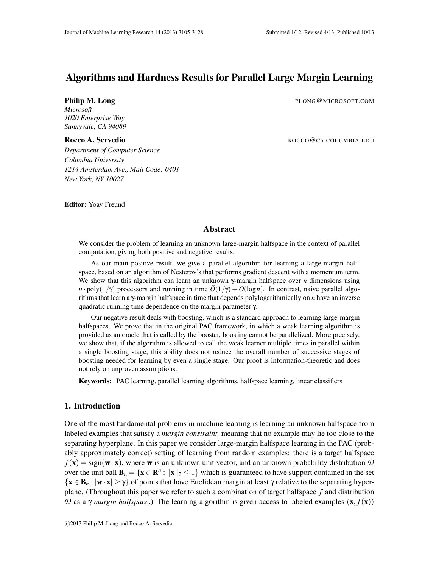# Algorithms and Hardness Results for Parallel Large Margin Learning

**Philip M. Long** PLONG@MICROSOFT.COM

*Microsoft 1020 Enterprise Way Sunnyvale, CA 94089*

Rocco A. Servedio and a servedio and a served and a served and a served and a served and a served and a served and a served and a served and a served and a served and a served and a served and a served and a served and a s

*Department of Computer Science Columbia University 1214 Amsterdam Ave., Mail Code: 0401 New York, NY 10027*

Editor: Yoav Freund

#### Abstract

We consider the problem of learning an unknown large-margin halfspace in the context of parallel computation, giving both positive and negative results.

As our main positive result, we give a parallel algorithm for learning a large-margin halfspace, based on an algorithm of Nesterov's that performs gradient descent with a momentum term. We show that this algorithm can learn an unknown γ-margin halfspace over *n* dimensions using *n* · poly( $1/\gamma$ ) processors and running in time  $\tilde{O}(1/\gamma) + O(\log n)$ . In contrast, naive parallel algorithms that learn a γ-margin halfspace in time that depends polylogarithmically on *n* have an inverse quadratic running time dependence on the margin parameter γ.

Our negative result deals with boosting, which is a standard approach to learning large-margin halfspaces. We prove that in the original PAC framework, in which a weak learning algorithm is provided as an oracle that is called by the booster, boosting cannot be parallelized. More precisely, we show that, if the algorithm is allowed to call the weak learner multiple times in parallel within a single boosting stage, this ability does not reduce the overall number of successive stages of boosting needed for learning by even a single stage. Our proof is information-theoretic and does not rely on unproven assumptions.

Keywords: PAC learning, parallel learning algorithms, halfspace learning, linear classifiers

# 1. Introduction

One of the most fundamental problems in machine learning is learning an unknown halfspace from labeled examples that satisfy a *margin constraint,* meaning that no example may lie too close to the separating hyperplane. In this paper we consider large-margin halfspace learning in the PAC (probably approximately correct) setting of learning from random examples: there is a target halfspace  $f(\mathbf{x}) = \text{sign}(\mathbf{w} \cdot \mathbf{x})$ , where **w** is an unknown unit vector, and an unknown probability distribution  $D$ over the unit ball  $\mathbf{B}_n = \{ \mathbf{x} \in \mathbb{R}^n : ||\mathbf{x}||_2 \le 1 \}$  which is guaranteed to have support contained in the set  ${x \in B_n : |w \cdot x| \geq \gamma}$  of points that have Euclidean margin at least  $\gamma$  relative to the separating hyperplane. (Throughout this paper we refer to such a combination of target halfspace *f* and distribution *D* as a *γ-margin halfspace*.) The learning algorithm is given access to labeled examples (**x**,  $f(\mathbf{x})$ )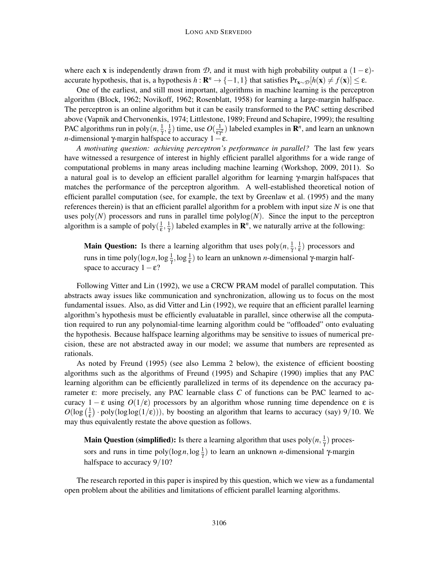where each x is independently drawn from *D*, and it must with high probability output a  $(1 - \varepsilon)$ accurate hypothesis, that is, a hypothesis  $h: \mathbb{R}^n \to \{-1,1\}$  that satisfies  $Pr_{\mathbf{x} \sim \mathcal{D}}[h(\mathbf{x}) \neq f(\mathbf{x})] \leq \varepsilon$ .

One of the earliest, and still most important, algorithms in machine learning is the perceptron algorithm (Block, 1962; Novikoff, 1962; Rosenblatt, 1958) for learning a large-margin halfspace. The perceptron is an online algorithm but it can be easily transformed to the PAC setting described above (Vapnik and Chervonenkis, 1974; Littlestone, 1989; Freund and Schapire, 1999); the resulting PAC algorithms run in poly $(n, \frac{1}{\gamma}, \frac{1}{\epsilon})$  time, use  $O(\frac{1}{\epsilon \gamma^2})$  labeled examples in  $\mathbb{R}^n$ , and learn an unknown *n*-dimensional γ-margin halfspace to accuracy  $1 - \varepsilon$ .

*A motivating question: achieving perceptron's performance in parallel?* The last few years have witnessed a resurgence of interest in highly efficient parallel algorithms for a wide range of computational problems in many areas including machine learning (Workshop, 2009, 2011). So a natural goal is to develop an efficient parallel algorithm for learning γ-margin halfspaces that matches the performance of the perceptron algorithm. A well-established theoretical notion of efficient parallel computation (see, for example, the text by Greenlaw et al. (1995) and the many references therein) is that an efficient parallel algorithm for a problem with input size *N* is one that uses  $poly(N)$  processors and runs in parallel time  $polylog(N)$ . Since the input to the perceptron algorithm is a sample of poly $(\frac{1}{\epsilon}, \frac{1}{\gamma})$  labeled examples in  $\mathbb{R}^n$ , we naturally arrive at the following:

**Main Question:** Is there a learning algorithm that uses  $poly(n, \frac{1}{\gamma}, \frac{1}{\epsilon})$  processors and runs in time poly(log *n*, log  $\frac{1}{\gamma}$ , log  $\frac{1}{\epsilon}$ ) to learn an unknown *n*-dimensional γ-margin halfspace to accuracy  $1 - \varepsilon$ ?

Following Vitter and Lin (1992), we use a CRCW PRAM model of parallel computation. This abstracts away issues like communication and synchronization, allowing us to focus on the most fundamental issues. Also, as did Vitter and Lin (1992), we require that an efficient parallel learning algorithm's hypothesis must be efficiently evaluatable in parallel, since otherwise all the computation required to run any polynomial-time learning algorithm could be "offloaded" onto evaluating the hypothesis. Because halfspace learning algorithms may be sensitive to issues of numerical precision, these are not abstracted away in our model; we assume that numbers are represented as rationals.

As noted by Freund (1995) (see also Lemma 2 below), the existence of efficient boosting algorithms such as the algorithms of Freund (1995) and Schapire (1990) implies that any PAC learning algorithm can be efficiently parallelized in terms of its dependence on the accuracy parameter ε: more precisely, any PAC learnable class *C* of functions can be PAC learned to accuracy  $1 - \varepsilon$  using  $O(1/\varepsilon)$  processors by an algorithm whose running time dependence on  $\varepsilon$  is  $O(\log(\frac{1}{\epsilon}) \cdot \text{poly}(\log \log(1/\epsilon)))$ , by boosting an algorithm that learns to accuracy (say) 9/10. We may thus equivalently restate the above question as follows.

**Main Question (simplified):** Is there a learning algorithm that uses  $poly(n, \frac{1}{\gamma})$  processors and runs in time  $poly(log n, log \frac{1}{\gamma})$  to learn an unknown *n*-dimensional γ-margin halfspace to accuracy  $9/10$ ?

The research reported in this paper is inspired by this question, which we view as a fundamental open problem about the abilities and limitations of efficient parallel learning algorithms.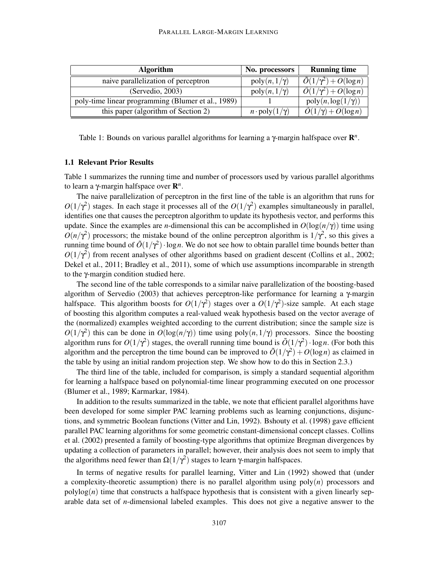| <b>Algorithm</b>                                   | No. processors                  | <b>Running time</b>                            |
|----------------------------------------------------|---------------------------------|------------------------------------------------|
| naive parallelization of perceptron                | $poly(n, 1/\gamma)$             | $\overline{\tilde{O}(1/\gamma^2)} + O(\log n)$ |
| (Servedio, 2003)                                   | $poly(n, 1/\gamma)$             | $\tilde{O}(1/\gamma^2) + O(\log n)$            |
| poly-time linear programming (Blumer et al., 1989) |                                 | $poly(n, \log(1/\gamma))$                      |
| this paper (algorithm of Section 2)                | $n \cdot \text{poly}(1/\gamma)$ | $\overline{O(1/\gamma)+O(\log n)}$             |

Table 1: Bounds on various parallel algorithms for learning a γ-margin halfspace over R *n* .

#### 1.1 Relevant Prior Results

Table 1 summarizes the running time and number of processors used by various parallel algorithms to learn a γ-margin halfspace over R *n* .

The naive parallelization of perceptron in the first line of the table is an algorithm that runs for  $O(1/\gamma^2)$  stages. In each stage it processes all of the  $O(1/\gamma^2)$  examples simultaneously in parallel, identifies one that causes the perceptron algorithm to update its hypothesis vector, and performs this update. Since the examples are *n*-dimensional this can be accomplished in  $O(\log(n/\gamma))$  time using  $O(n/\gamma^2)$  processors; the mistake bound of the online perceptron algorithm is  $1/\gamma^2$ , so this gives a running time bound of  $\tilde{O}(1/\gamma^2) \cdot \log n$ . We do not see how to obtain parallel time bounds better than  $O(1/\gamma^2)$  from recent analyses of other algorithms based on gradient descent (Collins et al., 2002; Dekel et al., 2011; Bradley et al., 2011), some of which use assumptions incomparable in strength to the γ-margin condition studied here.

The second line of the table corresponds to a similar naive parallelization of the boosting-based algorithm of Servedio (2003) that achieves perceptron-like performance for learning a γ-margin halfspace. This algorithm boosts for  $O(1/\gamma^2)$  stages over a  $O(1/\gamma^2)$ -size sample. At each stage of boosting this algorithm computes a real-valued weak hypothesis based on the vector average of the (normalized) examples weighted according to the current distribution; since the sample size is  $O(1/\gamma^2)$  this can be done in  $O(\log(n/\gamma))$  time using poly $(n,1/\gamma)$  processors. Since the boosting algorithm runs for  $O(1/\gamma^2)$  stages, the overall running time bound is  $\tilde{O}(1/\gamma^2) \cdot \log n$ . (For both this algorithm and the perceptron the time bound can be improved to  $\tilde{O}(1/\gamma^2) + O(\log n)$  as claimed in the table by using an initial random projection step. We show how to do this in Section 2.3.)

The third line of the table, included for comparison, is simply a standard sequential algorithm for learning a halfspace based on polynomial-time linear programming executed on one processor (Blumer et al., 1989; Karmarkar, 1984).

In addition to the results summarized in the table, we note that efficient parallel algorithms have been developed for some simpler PAC learning problems such as learning conjunctions, disjunctions, and symmetric Boolean functions (Vitter and Lin, 1992). Bshouty et al. (1998) gave efficient parallel PAC learning algorithms for some geometric constant-dimensional concept classes. Collins et al. (2002) presented a family of boosting-type algorithms that optimize Bregman divergences by updating a collection of parameters in parallel; however, their analysis does not seem to imply that the algorithms need fewer than  $\Omega(1/\gamma^2)$  stages to learn γ-margin halfspaces.

In terms of negative results for parallel learning, Vitter and Lin (1992) showed that (under a complexity-theoretic assumption) there is no parallel algorithm using poly(*n*) processors and  $polylog(n)$  time that constructs a halfspace hypothesis that is consistent with a given linearly separable data set of *n*-dimensional labeled examples. This does not give a negative answer to the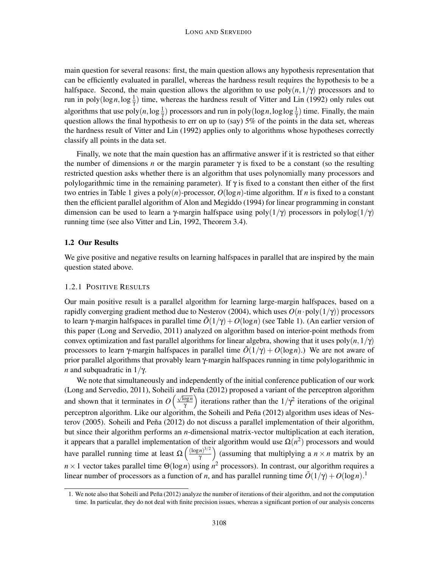main question for several reasons: first, the main question allows any hypothesis representation that can be efficiently evaluated in parallel, whereas the hardness result requires the hypothesis to be a halfspace. Second, the main question allows the algorithm to use  $poly(n,1/\gamma)$  processors and to run in poly( $\log n, \log \frac{1}{\gamma}$ ) time, whereas the hardness result of Vitter and Lin (1992) only rules out algorithms that use  $poly(n, \log \frac{1}{\gamma})$  processors and run in  $poly(\log n, \log \log \frac{1}{\gamma})$  time. Finally, the main question allows the final hypothesis to err on up to (say) 5% of the points in the data set, whereas the hardness result of Vitter and Lin (1992) applies only to algorithms whose hypotheses correctly classify all points in the data set.

Finally, we note that the main question has an affirmative answer if it is restricted so that either the number of dimensions *n* or the margin parameter  $\gamma$  is fixed to be a constant (so the resulting restricted question asks whether there is an algorithm that uses polynomially many processors and polylogarithmic time in the remaining parameter). If  $\gamma$  is fixed to a constant then either of the first two entries in Table 1 gives a poly(*n*)-processor, *O*(log*n*)-time algorithm. If *n* is fixed to a constant then the efficient parallel algorithm of Alon and Megiddo (1994) for linear programming in constant dimension can be used to learn a γ-margin halfspace using poly $(1/\gamma)$  processors in polylog $(1/\gamma)$ running time (see also Vitter and Lin, 1992, Theorem 3.4).

# 1.2 Our Results

We give positive and negative results on learning halfspaces in parallel that are inspired by the main question stated above.

#### 1.2.1 POSITIVE RESULTS

Our main positive result is a parallel algorithm for learning large-margin halfspaces, based on a rapidly converging gradient method due to Nesterov (2004), which uses  $O(n \cdot \text{poly}(1/\gamma))$  processors to learn γ-margin halfspaces in parallel time  $\tilde{O}(1/\gamma) + O(\log n)$  (see Table 1). (An earlier version of this paper (Long and Servedio, 2011) analyzed on algorithm based on interior-point methods from convex optimization and fast parallel algorithms for linear algebra, showing that it uses  $poly(n,1/\gamma)$ processors to learn γ-margin halfspaces in parallel time  $\tilde{O}(1/\gamma) + O(\log n)$ .) We are not aware of prior parallel algorithms that provably learn γ-margin halfspaces running in time polylogarithmic in *n* and subquadratic in  $1/\gamma$ .

We note that simultaneously and independently of the initial conference publication of our work (Long and Servedio, 2011), Soheili and Peña (2012) proposed a variant of the perceptron algorithm and shown that it terminates in  $O\left(\frac{\sqrt{\log n}}{n}\right)$  $\sqrt{\frac{\log n}{\gamma}}$  iterations rather than the  $1/\gamma^2$  iterations of the original perceptron algorithm. Like our algorithm, the Soheili and Peña (2012) algorithm uses ideas of Nesterov (2005). Soheili and Peña (2012) do not discuss a parallel implementation of their algorithm, but since their algorithm performs an *n*-dimensional matrix-vector multiplication at each iteration, it appears that a parallel implementation of their algorithm would use  $\Omega(n^2)$  processors and would have parallel running time at least  $\Omega\left(\frac{(\log n)^{3/2}}{n}\right)$  $\left(\frac{n}{\gamma}\right)^{3/2}$  (assuming that multiplying a  $n \times n$  matrix by an  $n \times 1$  vector takes parallel time  $\Theta(\log n)$  using  $n^2$  processors). In contrast, our algorithm requires a linear number of processors as a function of *n*, and has parallel running time  $\tilde{O}(1/\gamma) + O(\log n)^{1/2}$ .

<sup>1.</sup> We note also that Soheili and Peña (2012) analyze the number of iterations of their algorithm, and not the computation time. In particular, they do not deal with finite precision issues, whereas a significant portion of our analysis concerns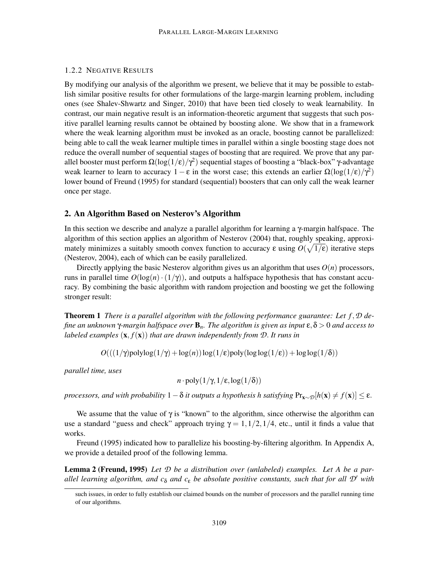## 1.2.2 NEGATIVE RESULTS

By modifying our analysis of the algorithm we present, we believe that it may be possible to establish similar positive results for other formulations of the large-margin learning problem, including ones (see Shalev-Shwartz and Singer, 2010) that have been tied closely to weak learnability. In contrast, our main negative result is an information-theoretic argument that suggests that such positive parallel learning results cannot be obtained by boosting alone. We show that in a framework where the weak learning algorithm must be invoked as an oracle, boosting cannot be parallelized: being able to call the weak learner multiple times in parallel within a single boosting stage does not reduce the overall number of sequential stages of boosting that are required. We prove that any parallel booster must perform  $\Omega(\log(1/\epsilon)/\gamma^2)$  sequential stages of boosting a "black-box" γ-advantage weak learner to learn to accuracy  $1 - \varepsilon$  in the worst case; this extends an earlier  $\Omega(\log(1/\varepsilon)/\gamma^2)$ lower bound of Freund (1995) for standard (sequential) boosters that can only call the weak learner once per stage.

#### 2. An Algorithm Based on Nesterov's Algorithm

In this section we describe and analyze a parallel algorithm for learning a γ-margin halfspace. The algorithm of this section applies an algorithm of Nesterov (2004) that, roughly speaking, approximately minimizes a suitably smooth convex function to accuracy  $\varepsilon$  using  $O(\sqrt{1/\varepsilon})$  iterative steps (Nesterov, 2004), each of which can be easily parallelized.

Directly applying the basic Nesterov algorithm gives us an algorithm that uses  $O(n)$  processors, runs in parallel time  $O(\log(n) \cdot (1/\gamma))$ , and outputs a halfspace hypothesis that has constant accuracy. By combining the basic algorithm with random projection and boosting we get the following stronger result:

Theorem 1 *There is a parallel algorithm with the following performance guarantee: Let f*,*D define an unknown* γ*-margin halfspace over* B*n. The algorithm is given as input* ε,δ > 0 *and access to labeled examples* (x, *f*(x)) *that are drawn independently from D*. *It runs in*

 $O(((1/\gamma) \text{polylog}(1/\gamma) + \log(n)) \log(1/\epsilon) \text{poly}(\log \log(1/\epsilon)) + \log \log(1/\delta))$ 

*parallel time, uses*

$$
n \cdot \text{poly}(1/\gamma, 1/\varepsilon, \log(1/\delta))
$$

*processors, and with probability*  $1-\delta$  *it outputs a hypothesis h satisfying*  $Pr_{\mathbf{x} \sim \mathcal{D}}[h(\mathbf{x}) \neq f(\mathbf{x})] \leq \epsilon$ .

We assume that the value of  $\gamma$  is "known" to the algorithm, since otherwise the algorithm can use a standard "guess and check" approach trying  $\gamma = 1, 1/2, 1/4$ , etc., until it finds a value that works.

Freund (1995) indicated how to parallelize his boosting-by-filtering algorithm. In Appendix A, we provide a detailed proof of the following lemma.

Lemma 2 (Freund, 1995) *Let D be a distribution over (unlabeled) examples. Let A be a parallel learning algorithm, and c*<sub>δ</sub> *and c*<sub>ε</sub> *be absolute positive constants, such that for all*  $\mathcal{D}'$  *with* 

such issues, in order to fully establish our claimed bounds on the number of processors and the parallel running time of our algorithms.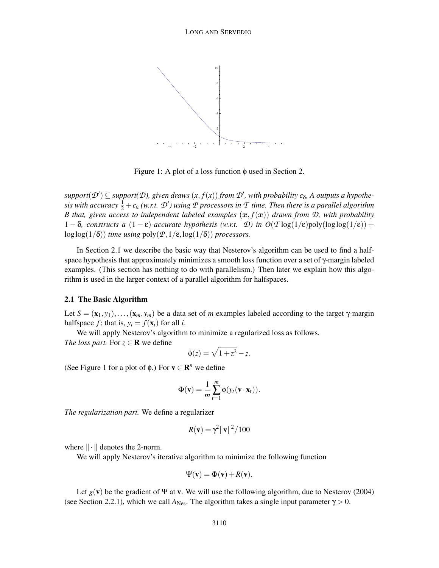

Figure 1: A plot of a loss function  $\phi$  used in Section 2.

 $support(\mathcal{D}') \subseteq support(\mathcal{D})$ , given draws  $(x, f(x))$  from  $\mathcal{D}'$ , with probability  $c_{\delta}$ , A outputs a hypothe $s$ *is with accuracy*  $\frac{1}{2} + c_{\varepsilon}$  *(w.r.t.*  $\mathcal{D}'$ *)* using  $\mathcal P$  processors in  $\mathcal T$  time. Then there is a parallel algorithm *B* that, given access to independent labeled examples  $(x, f(x))$  drawn from  $D$ , with probability 1 − δ*, constructs a*  $(1 – ε)$ -accurate hypothesis (w.r.t. *D*) in  $O(T \log(1/ε))$ poly $(\log \log(1/ε))$  +  $\log \log(1/\delta)$  *time using*  $\text{poly}(\mathcal{P},1/\epsilon,\log(1/\delta))$  *processors.* 

In Section 2.1 we describe the basic way that Nesterov's algorithm can be used to find a halfspace hypothesis that approximately minimizes a smooth loss function over a set of γ-margin labeled examples. (This section has nothing to do with parallelism.) Then later we explain how this algorithm is used in the larger context of a parallel algorithm for halfspaces.

#### 2.1 The Basic Algorithm

Let  $S = (\mathbf{x}_1, y_1), \ldots, (\mathbf{x}_m, y_m)$  be a data set of *m* examples labeled according to the target  $\gamma$ -margin halfspace *f*; that is,  $y_i = f(\mathbf{x}_i)$  for all *i*.

We will apply Nesterov's algorithm to minimize a regularized loss as follows.

*The loss part.* For  $z \in \mathbf{R}$  we define

$$
\phi(z) = \sqrt{1+z^2} - z.
$$

(See Figure 1 for a plot of  $\phi$ .) For  $\mathbf{v} \in \mathbb{R}^n$  we define

$$
\Phi(\mathbf{v}) = \frac{1}{m} \sum_{t=1}^{m} \phi(y_t(\mathbf{v} \cdot \mathbf{x}_t)).
$$

*The regularization part.* We define a regularizer

$$
R(\mathbf{v}) = \gamma^2 \|\mathbf{v}\|^2 / 100
$$

where  $\|\cdot\|$  denotes the 2-norm.

We will apply Nesterov's iterative algorithm to minimize the following function

$$
\Psi(\mathbf{v}) = \Phi(\mathbf{v}) + R(\mathbf{v}).
$$

Let  $g(\mathbf{v})$  be the gradient of  $\Psi$  at **v**. We will use the following algorithm, due to Nesterov (2004) (see Section 2.2.1), which we call  $A_{\text{Nes}}$ . The algorithm takes a single input parameter  $\gamma > 0$ .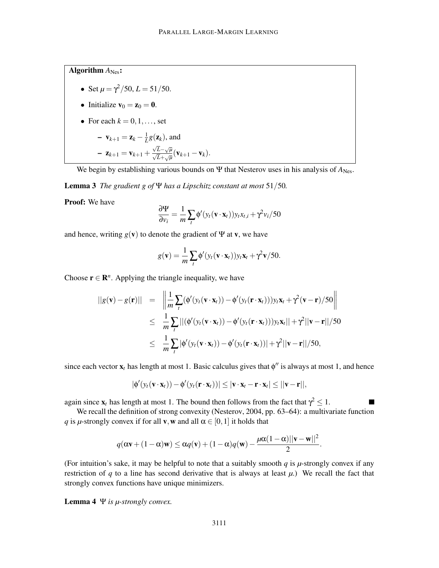Algorithm  $A_{\text{Nes}}$ :

• Set 
$$
\mu = \frac{\gamma^2}{50}
$$
,  $L = \frac{51}{50}$ .

• Initialize 
$$
\mathbf{v}_0 = \mathbf{z}_0 = \mathbf{0}
$$
.

• For each  $k = 0, 1, \ldots$ , set

$$
- \mathbf{v}_{k+1} = \mathbf{z}_k - \frac{1}{L} g(\mathbf{z}_k), \text{ and}
$$

$$
- \mathbf{z}_{k+1} = \mathbf{v}_{k+1} + \frac{\sqrt{L} - \sqrt{\mu}}{\sqrt{L} + \sqrt{\mu}} (\mathbf{v}_{k+1} - \mathbf{v}_k).
$$

We begin by establishing various bounds on  $\Psi$  that Nesterov uses in his analysis of  $A_{\text{Nes}}$ .

Lemma 3 *The gradient g of* Ψ *has a Lipschitz constant at most* 51/50*.*

Proof: We have

$$
\frac{\partial \Psi}{\partial v_i} = \frac{1}{m} \sum_t \phi'(y_t(\mathbf{v} \cdot \mathbf{x}_t)) y_t x_{t,i} + \gamma^2 v_i / 50
$$

and hence, writing  $g(\mathbf{v})$  to denote the gradient of  $\Psi$  at **v**, we have

$$
g(\mathbf{v}) = \frac{1}{m} \sum_{t} \phi'(y_t(\mathbf{v} \cdot \mathbf{x}_t)) y_t \mathbf{x}_t + \gamma^2 \mathbf{v}/50.
$$

Choose  $\mathbf{r} \in \mathbb{R}^n$ . Applying the triangle inequality, we have

$$
||g(\mathbf{v}) - g(\mathbf{r})|| = \left\| \frac{1}{m} \sum_{t} (\phi'(y_t(\mathbf{v} \cdot \mathbf{x}_t)) - \phi'(y_t(\mathbf{r} \cdot \mathbf{x}_t))) y_t \mathbf{x}_t + \gamma^2 (\mathbf{v} - \mathbf{r})/50 \right\|
$$
  
\n
$$
\leq \frac{1}{m} \sum_{t} |(\phi'(y_t(\mathbf{v} \cdot \mathbf{x}_t)) - \phi'(y_t(\mathbf{r} \cdot \mathbf{x}_t))) y_t \mathbf{x}_t|| + \gamma^2 ||\mathbf{v} - \mathbf{r}||/50
$$
  
\n
$$
\leq \frac{1}{m} \sum_{t} |\phi'(y_t(\mathbf{v} \cdot \mathbf{x}_t)) - \phi'(y_t(\mathbf{r} \cdot \mathbf{x}_t))| + \gamma^2 ||\mathbf{v} - \mathbf{r}||/50,
$$

since each vector  $\mathbf{x}_t$  has length at most 1. Basic calculus gives that  $\phi''$  is always at most 1, and hence

$$
|\phi'(y_t(\mathbf{v}\cdot\mathbf{x}_t)) - \phi'(y_t(\mathbf{r}\cdot\mathbf{x}_t))| \leq |\mathbf{v}\cdot\mathbf{x}_t - \mathbf{r}\cdot\mathbf{x}_t| \leq ||\mathbf{v} - \mathbf{r}||,
$$

 $\blacksquare$ 

again since  $\mathbf{x}_t$  has length at most 1. The bound then follows from the fact that  $\gamma^2 \leq 1$ .

We recall the definition of strong convexity (Nesterov, 2004, pp. 63–64): a multivariate function *q* is *µ*-strongly convex if for all **v**, **w** and all  $\alpha \in [0,1]$  it holds that

$$
q(\alpha \mathbf{v} + (1 - \alpha)\mathbf{w}) \leq \alpha q(\mathbf{v}) + (1 - \alpha)q(\mathbf{w}) - \frac{\mu\alpha(1 - \alpha)||\mathbf{v} - \mathbf{w}||^2}{2}.
$$

(For intuition's sake, it may be helpful to note that a suitably smooth  $q$  is  $\mu$ -strongly convex if any restriction of  $q$  to a line has second derivative that is always at least  $\mu$ .) We recall the fact that strongly convex functions have unique minimizers.

Lemma 4 Ψ *is µ-strongly convex.*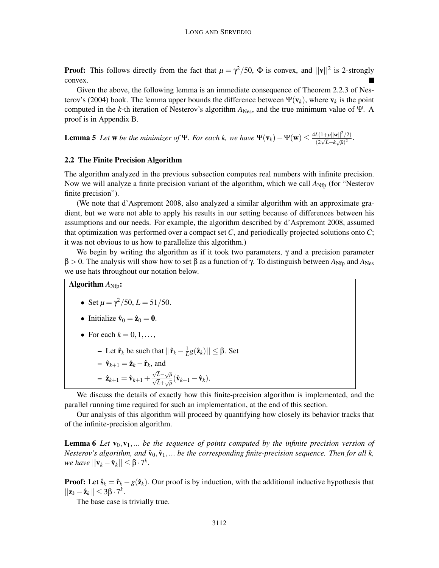**Proof:** This follows directly from the fact that  $\mu = \gamma^2/50$ ,  $\Phi$  is convex, and  $||\mathbf{v}||^2$  is 2-strongly convex.

Given the above, the following lemma is an immediate consequence of Theorem 2.2.3 of Nesterov's (2004) book. The lemma upper bounds the difference between  $\Psi(\mathbf{v}_k)$ , where  $\mathbf{v}_k$  is the point computed in the *k*-th iteration of Nesterov's algorithm  $A_{Nes}$ , and the true minimum value of Ψ. A proof is in Appendix B.

**Lemma 5** Let **w** be the minimizer of Ψ. For each k, we have  $\Psi(\mathbf{v}_k) - \Psi(\mathbf{w}) \le \frac{4L(1+\mu||\mathbf{w}||^2/2)}{(2\sqrt{L} + k\sqrt{\mu})^2}$  $\frac{L(1+\mu||\mathbf{w}||/2)}{(2\sqrt{L}+k\sqrt{\mu})^2}$ .

## 2.2 The Finite Precision Algorithm

The algorithm analyzed in the previous subsection computes real numbers with infinite precision. Now we will analyze a finite precision variant of the algorithm, which we call  $A_{Nfp}$  (for "Nesterov finite precision").

(We note that d'Aspremont 2008, also analyzed a similar algorithm with an approximate gradient, but we were not able to apply his results in our setting because of differences between his assumptions and our needs. For example, the algorithm described by d'Aspremont 2008, assumed that optimization was performed over a compact set *C*, and periodically projected solutions onto *C*; it was not obvious to us how to parallelize this algorithm.)

We begin by writing the algorithm as if it took two parameters,  $\gamma$  and a precision parameter  $β > 0$ . The analysis will show how to set  $β$  as a function of γ. To distinguish between  $A_{Nfn}$  and  $A_{Nes}$ we use hats throughout our notation below.

Algorithm  $A_{\text{Nfp}}$ :

• Set  $\mu = \frac{\gamma^2}{50}$ ,  $L = \frac{51}{50}$ .

• Initialize 
$$
\hat{\mathbf{v}}_0 = \hat{\mathbf{z}}_0 = \mathbf{0}
$$
.

- For each  $k = 0, 1, \ldots$ ,
	- Let  $\hat{\mathbf{r}}_k$  be such that  $\|\hat{\mathbf{r}}_k \frac{1}{L}\|$  $\frac{1}{L}g(\hat{\mathbf{z}}_k)$ ||  $\leq \beta$ . Set
	- $-\hat{\mathbf{v}}_{k+1} = \hat{\mathbf{z}}_k \hat{\mathbf{r}}_k$ , and
	- $\hat{\mathbf{z}}_{k+1} = \hat{\mathbf{v}}_{k+1} + \frac{\sqrt{L} \sqrt{\mu}}{\sqrt{L} + \sqrt{\mu}} (\hat{\mathbf{v}}_{k+1} \hat{\mathbf{v}}_k).$

We discuss the details of exactly how this finite-precision algorithm is implemented, and the parallel running time required for such an implementation, at the end of this section.

Our analysis of this algorithm will proceed by quantifying how closely its behavior tracks that of the infinite-precision algorithm.

**Lemma 6** Let  $\mathbf{v}_0, \mathbf{v}_1, \ldots$  be the sequence of points computed by the infinite precision version of *Nesterov's algorithm, and*  $\hat{\mathbf{v}}_0, \hat{\mathbf{v}}_1, \dots$  *be the corresponding finite-precision sequence. Then for all k,*  $\forall w \in \mathit{have} \, ||\mathbf{v}_k - \mathbf{\hat{v}}_k|| \leq \beta \cdot 7^k.$ 

**Proof:** Let  $\hat{\mathbf{s}}_k = \hat{\mathbf{r}}_k - g(\hat{\mathbf{z}}_k)$ . Our proof is by induction, with the additional inductive hypothesis that  $||\mathbf{z}_k - \hat{\mathbf{z}}_k|| \leq 3\beta \cdot 7^k.$ 

The base case is trivially true.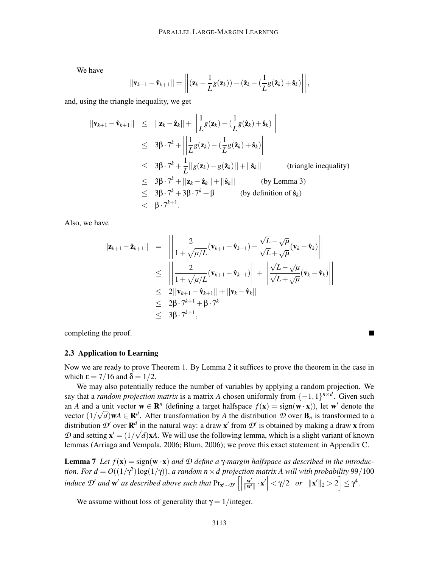We have

$$
||\mathbf{v}_{k+1}-\hat{\mathbf{v}}_{k+1}|| = \left|\left|(\mathbf{z}_k-\frac{1}{L}g(\mathbf{z}_k))-(\hat{\mathbf{z}}_k-(\frac{1}{L}g(\hat{\mathbf{z}}_k)+\hat{\mathbf{s}}_k)\right|\right|,
$$

and, using the triangle inequality, we get

$$
||\mathbf{v}_{k+1} - \hat{\mathbf{v}}_{k+1}|| \le ||\mathbf{z}_k - \hat{\mathbf{z}}_k|| + \left||\frac{1}{L}g(\mathbf{z}_k) - (\frac{1}{L}g(\hat{\mathbf{z}}_k) + \hat{\mathbf{s}}_k)\right||
$$
  
\n
$$
\le 3\beta \cdot 7^k + \left||\frac{1}{L}g(\mathbf{z}_k) - (\frac{1}{L}g(\hat{\mathbf{z}}_k) + \hat{\mathbf{s}}_k)\right||
$$
  
\n
$$
\le 3\beta \cdot 7^k + \frac{1}{L}||g(\mathbf{z}_k) - g(\hat{\mathbf{z}}_k)|| + ||\hat{\mathbf{s}}_k|| \qquad \text{(triangle inequality)}
$$
  
\n
$$
\le 3\beta \cdot 7^k + ||\mathbf{z}_k - \hat{\mathbf{z}}_k|| + ||\hat{\mathbf{s}}_k|| \qquad \text{(by Lemma 3)}
$$
  
\n
$$
\le 3\beta \cdot 7^k + 3\beta \cdot 7^k + \beta \qquad \text{(by definition of } \hat{\mathbf{s}}_k)
$$
  
\n
$$
< \beta \cdot 7^{k+1}.
$$

Also, we have

$$
\begin{array}{rcl}\n||\mathbf{z}_{k+1} - \hat{\mathbf{z}}_{k+1}|| & = & \left\| \frac{2}{1 + \sqrt{\mu/L}} (\mathbf{v}_{k+1} - \hat{\mathbf{v}}_{k+1}) - \frac{\sqrt{L} - \sqrt{\mu}}{\sqrt{L} + \sqrt{\mu}} (\mathbf{v}_{k} - \hat{\mathbf{v}}_{k}) \right\| \\
& \leq & \left\| \frac{2}{1 + \sqrt{\mu/L}} (\mathbf{v}_{k+1} - \hat{\mathbf{v}}_{k+1}) \right\| + \left\| \frac{\sqrt{L} - \sqrt{\mu}}{\sqrt{L} + \sqrt{\mu}} (\mathbf{v}_{k} - \hat{\mathbf{v}}_{k}) \right\| \\
& \leq & 2||\mathbf{v}_{k+1} - \hat{\mathbf{v}}_{k+1}|| + ||\mathbf{v}_{k} - \hat{\mathbf{v}}_{k}|| \\
& \leq & 2\beta \cdot 7^{k+1} + \beta \cdot 7^{k} \\
& \leq & 3\beta \cdot 7^{k+1},\n\end{array}
$$

completing the proof.

#### 2.3 Application to Learning

Now we are ready to prove Theorem 1. By Lemma 2 it suffices to prove the theorem in the case in which  $\epsilon = 7/16$  and  $\delta = 1/2$ .

П

We may also potentially reduce the number of variables by applying a random projection. We say that a *random projection matrix* is a matrix *A* chosen uniformly from  $\{-1,1\}^{n \times d}$ . Given such an *A* and a unit vector  $\mathbf{w} \in \mathbb{R}^n$  (defining a target halfspace  $f(\mathbf{x}) = \text{sign}(\mathbf{w} \cdot \mathbf{x})$ ), let  $\mathbf{w}'$  denote the vector  $(1/\sqrt{d})\mathbf{w}A \in \mathbf{R}^d$ . After transformation by *A* the distribution *D* over  $\mathbf{B}_n$  is transformed to a distribution  $\mathcal{D}'$  over  $\mathbf{R}^d$  in the natural way: a draw  $\mathbf{x}'$  from  $\mathcal{D}'$  is obtained by making a draw x from *D* and setting  $\mathbf{x}' = (1/\sqrt{d})\mathbf{x}A$ . We will use the following lemma, which is a slight variant of known lemmas (Arriaga and Vempala, 2006; Blum, 2006); we prove this exact statement in Appendix C.

**Lemma 7** Let  $f(\mathbf{x}) = \text{sign}(\mathbf{w} \cdot \mathbf{x})$  *and D* define a γ-margin halfspace as described in the introduc*tion. For*  $d = O((1/\gamma^2) \log(1/\gamma))$ *, a random n × d projection matrix A will with probability* 99/100 *induce*  $\mathcal{D}'$  *and*  $\mathbf{w}'$  *as described above such that*  $\Pr_{\mathbf{x}' \sim \mathcal{D}'}$   $\left[\right]$  $\frac{\mathbf{w}'}{\|\mathbf{w}'\|}\cdot\mathbf{x}'$  <  $\gamma/2$  *or*  $\|\mathbf{x}'\|_2 > 2$   $\leq \gamma^4$ .

We assume without loss of generality that  $\gamma = 1$ /integer.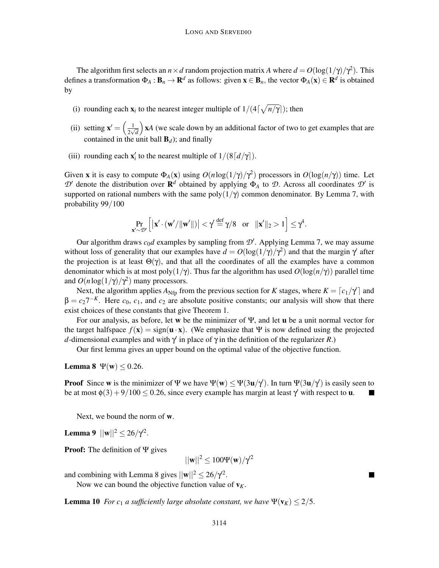The algorithm first selects an  $n \times d$  random projection matrix *A* where  $d = O(\log(1/\gamma)/\gamma^2)$ . This defines a transformation  $\Phi_A : \mathbf{B}_n \to \mathbf{R}^d$  as follows: given  $\mathbf{x} \in \mathbf{B}_n$ , the vector  $\Phi_A(\mathbf{x}) \in \mathbf{R}^d$  is obtained by

- (i) rounding each  $\mathbf{x}_i$  to the nearest integer multiple of  $1/(4\lceil \sqrt{n/\gamma} \rceil)$ ; then
- (ii) setting  $\mathbf{x}' = \begin{pmatrix} \frac{1}{2} \\ 1 \end{pmatrix}$  $\frac{1}{2\sqrt{d}}$  x*A* (we scale down by an additional factor of two to get examples that are contained in the unit ball  $\mathbf{B}_d$ ); and finally
- (iii) rounding each  $\mathbf{x}'_i$  to the nearest multiple of  $1/(8\lceil d/\gamma \rceil)$ .

Given **x** it is easy to compute  $\Phi_A(\mathbf{x})$  using  $O(n \log(1/\gamma)/\gamma^2)$  processors in  $O(\log(n/\gamma))$  time. Let  $\mathcal{D}'$  denote the distribution over  $\mathbf{R}^d$  obtained by applying  $\Phi_A$  to  $\mathcal{D}$ . Across all coordinates  $\mathcal{D}'$  is supported on rational numbers with the same  $poly(1/\gamma)$  common denominator. By Lemma 7, with probability 99/100

$$
\Pr_{\mathbf{x}' \sim \mathcal{D}'} \left[ \left| \mathbf{x}' \cdot (\mathbf{w}'/\|\mathbf{w}'\|) \right| < \gamma' \stackrel{\text{def}}{=} \gamma/8 \quad \text{or} \quad \|\mathbf{x}'\|_2 > 1 \right] \leq \gamma^4.
$$

Our algorithm draws  $c_0d$  examples by sampling from  $\mathcal{D}'$ . Applying Lemma 7, we may assume without loss of generality that our examples have  $d = O(\log(1/\gamma)/\gamma^2)$  and that the margin  $\gamma'$  after the projection is at least  $\Theta(\gamma)$ , and that all the coordinates of all the examples have a common denominator which is at most poly( $1/\gamma$ ). Thus far the algorithm has used  $O(\log(n/\gamma))$  parallel time and  $O(n \log(1/\gamma)/\gamma^2)$  many processors.

Next, the algorithm applies  $A_{Nfp}$  from the previous section for *K* stages, where  $K = [c_1/\gamma]$  and  $\beta = c_2 7^{-K}$ . Here  $c_0$ ,  $c_1$ , and  $c_2$  are absolute positive constants; our analysis will show that there exist choices of these constants that give Theorem 1.

For our analysis, as before, let w be the minimizer of  $\Psi$ , and let **u** be a unit normal vector for the target halfspace  $f(x) = sign(u \cdot x)$ . (We emphasize that Ψ is now defined using the projected *d*-dimensional examples and with γ ′ in place of γ in the definition of the regularizer *R*.)

Our first lemma gives an upper bound on the optimal value of the objective function.

Lemma 8  $\Psi(\mathbf{w}) \leq 0.26$ .

**Proof** Since **w** is the minimizer of  $\Psi$  we have  $\Psi(w) \le \Psi(3u/\gamma')$ . In turn  $\Psi(3u/\gamma')$  is easily seen to be at most  $\phi(3) + 9/100 \le 0.26$ , since every example has margin at least  $\gamma'$  with respect to **u**.

Next, we bound the norm of w.

**Lemma 9**  $||\mathbf{w}||^2 \le 26/\gamma^2$ .

Proof: The definition of Ψ gives

 $||\mathbf{w}||^2 \le 100 \Psi(\mathbf{w})/\gamma^2$ 

and combining with Lemma 8 gives  $||\mathbf{w}||^2 \leq 26/\gamma^2$ .

Now we can bound the objective function value of  $v_K$ .

**Lemma 10** *For c*<sub>1</sub> *a sufficiently large absolute constant, we have*  $\Psi(\mathbf{v}_K) \leq 2/5$ .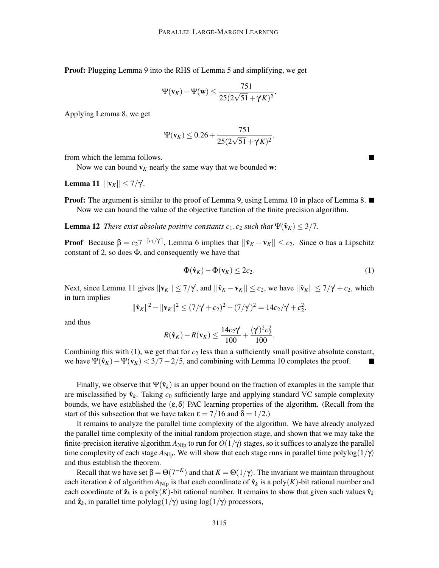Proof: Plugging Lemma 9 into the RHS of Lemma 5 and simplifying, we get

$$
\Psi(\mathbf{v}_K)-\Psi(\mathbf{w})\leq \frac{751}{25(2\sqrt{51}+\gamma K)^2}.
$$

Applying Lemma 8, we get

$$
\Psi(\mathbf{v}_K) \le 0.26 + \frac{751}{25(2\sqrt{51} + \gamma' K)^2}
$$

from which the lemma follows.

Now we can bound  $v_K$  nearly the same way that we bounded w:

**Lemma 11**  $||**v**<sub>K</sub>|| \le 7/γ$ .

**Proof:** The argument is similar to the proof of Lemma 9, using Lemma 10 in place of Lemma 8.  $\blacksquare$ Now we can bound the value of the objective function of the finite precision algorithm.

**Lemma 12** *There exist absolute positive constants*  $c_1$ ,  $c_2$  *such that*  $\Psi(\hat{\mathbf{v}}_K) \leq 3/7$ .

**Proof** Because  $\beta = c_2 7^{-\lceil c_1/\gamma' \rceil}$ , Lemma 6 implies that  $||\hat{\mathbf{v}}_K - \mathbf{v}_K|| \leq c_2$ . Since  $\phi$  has a Lipschitz constant of 2, so does  $\Phi$ , and consequently we have that

$$
\Phi(\hat{\mathbf{v}}_K) - \Phi(\mathbf{v}_K) \le 2c_2. \tag{1}
$$

.

Next, since Lemma 11 gives  $||\mathbf{v}_K|| \le 7/\gamma$ , and  $||\hat{\mathbf{v}}_K - \mathbf{v}_K|| \le c_2$ , we have  $||\hat{\mathbf{v}}_K|| \le 7/\gamma + c_2$ , which in turn implies

$$
\|\hat{\mathbf{v}}_K\|^2 - \|\mathbf{v}_K\|^2 \le (7/\gamma + c_2)^2 - (7/\gamma)^2 = 14c_2/\gamma + c_2^2.
$$

and thus

$$
R(\hat{\mathbf{v}}_K) - R(\mathbf{v}_K) \le \frac{14c_2\gamma}{100} + \frac{(\gamma^2)^2c_2^2}{100}.
$$

Combining this with  $(1)$ , we get that for  $c_2$  less than a sufficiently small positive absolute constant, we have  $\Psi(\hat{v}_K) - \Psi(v_K) < 3/7 - 2/5$ , and combining with Lemma 10 completes the proof.

Finally, we observe that  $\Psi(\hat{\mathbf{v}}_k)$  is an upper bound on the fraction of examples in the sample that are misclassified by  $\hat{\mathbf{v}}_k$ . Taking  $c_0$  sufficiently large and applying standard VC sample complexity bounds, we have established the  $(\epsilon, \delta)$  PAC learning properties of the algorithm. (Recall from the start of this subsection that we have taken  $\epsilon = 7/16$  and  $\delta = 1/2$ .)

It remains to analyze the parallel time complexity of the algorithm. We have already analyzed the parallel time complexity of the initial random projection stage, and shown that we may take the finite-precision iterative algorithm  $A_{Nfp}$  to run for  $O(1/\gamma)$  stages, so it suffices to analyze the parallel time complexity of each stage  $A_{Nfp}$ . We will show that each stage runs in parallel time polylog $(1/\gamma)$ and thus establish the theorem.

Recall that we have set  $\beta = \Theta(7^{-K})$  and that  $K = \Theta(1/\gamma)$ . The invariant we maintain throughout each iteration *k* of algorithm  $A_{Nfp}$  is that each coordinate of  $\hat{v}_k$  is a poly(*K*)-bit rational number and each coordinate of  $\hat{\mathbf{z}}_k$  is a poly(*K*)-bit rational number. It remains to show that given such values  $\hat{\mathbf{v}}_k$ and  $\hat{\mathbf{z}}_k$ , in parallel time polylog( $1/\gamma$ ) using log( $1/\gamma$ ) processors,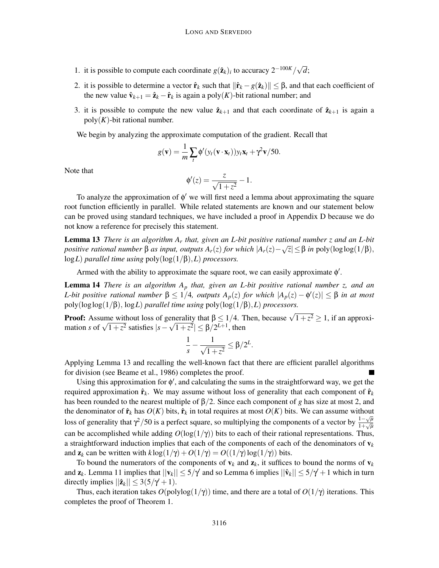- 1. it is possible to compute each coordinate  $g(\hat{\mathbf{z}}_k)_i$  to accuracy  $2^{-100K}/\sqrt{d}$ ;
- 2. it is possible to determine a vector  $\hat{\mathbf{r}}_k$  such that  $\|\hat{\mathbf{r}}_k g(\hat{\mathbf{z}}_k)\| \leq \beta$ , and that each coefficient of the new value  $\hat{\mathbf{v}}_{k+1} = \hat{\mathbf{z}}_k - \hat{\mathbf{r}}_k$  is again a poly(*K*)-bit rational number; and
- 3. it is possible to compute the new value  $\hat{\mathbf{z}}_{k+1}$  and that each coordinate of  $\hat{\mathbf{z}}_{k+1}$  is again a  $poly(K)$ -bit rational number.

We begin by analyzing the approximate computation of the gradient. Recall that

$$
g(\mathbf{v}) = \frac{1}{m} \sum_{t} \phi'(y_t(\mathbf{v} \cdot \mathbf{x}_t)) y_t \mathbf{x}_t + \gamma^2 \mathbf{v}/50.
$$

Note that

$$
\phi'(z) = \frac{z}{\sqrt{1+z^2}} - 1.
$$

To analyze the approximation of φ ′ we will first need a lemma about approximating the square root function efficiently in parallel. While related statements are known and our statement below can be proved using standard techniques, we have included a proof in Appendix D because we do not know a reference for precisely this statement.

Lemma 13 *There is an algorithm A<sup>r</sup> that, given an L-bit positive rational number z and an L-bit positive rational number*  $\beta$  *as input, outputs*  $A_r(z)$  *for which*  $|A_r(z) - \sqrt{z}| \leq \beta$  *in* poly(loglog(1/ $\beta$ ), log*L*) *parallel time using* poly(log(1/β),*L*) *processors.*

Armed with the ability to approximate the square root, we can easily approximate  $\phi'$ .

Lemma 14 *There is an algorithm A<sup>p</sup> that, given an L-bit positive rational number z, and an L*-bit positive rational number  $β ≤ 1/4$ , outputs  $A_p(z)$  for which  $|A_p(z) - φ'(z)| ≤ β$  in at most poly(loglog(1/β), log*L*) *parallel time using* poly(log(1/β),*L*) *processors.*

**Proof:** Assume without loss of generality that  $\beta \leq 1/4$ . Then, because  $\sqrt{1+z^2} \geq 1$ , if an approximation *s* of  $\sqrt{1+z^2}$  satisfies  $|s-\sqrt{1+z^2}| \le \beta/2^{L+1}$ , then

$$
\frac{1}{s}-\frac{1}{\sqrt{1+z^2}}\leq \beta/2^L.
$$

Applying Lemma 13 and recalling the well-known fact that there are efficient parallel algorithms for division (see Beame et al., 1986) completes the proof.

Using this approximation for  $\phi'$ , and calculating the sums in the straightforward way, we get the required approximation  $\hat{\mathbf{r}}_k$ . We may assume without loss of generality that each component of  $\hat{\mathbf{r}}_k$ has been rounded to the nearest multiple of β/2. Since each component of *g* has size at most 2, and the denominator of  $\hat{\mathbf{r}}_k$  has  $O(K)$  bits,  $\hat{\mathbf{r}}_k$  in total requires at most  $O(K)$  bits. We can assume without loss of generality that  $\gamma^2/50$  is a perfect square, so multiplying the components of a vector by  $\frac{1-\sqrt{\mu}}{1+\sqrt{\mu}}$ 1+ √*µ* can be accomplished while adding  $O(log(1/\gamma))$  bits to each of their rational representations. Thus, a straightforward induction implies that each of the components of each of the denominators of  $v_k$ and  $\mathbf{z}_k$  can be written with  $k \log(1/\gamma) + O(1/\gamma) = O((1/\gamma) \log(1/\gamma))$  bits.

To bound the numerators of the components of  $v_k$  and  $z_k$ , it suffices to bound the norms of  $v_k$ and  $z_k$ . Lemma 11 implies that  $||v_k|| \le 5/\gamma$  and so Lemma 6 implies  $||\hat{v}_k|| \le 5/\gamma + 1$  which in turn directly implies  $||\hat{\mathbf{z}}_k|| \leq 3(5/\gamma + 1)$ .

Thus, each iteration takes  $O(polylog(1/\gamma))$  time, and there are a total of  $O(1/\gamma)$  iterations. This completes the proof of Theorem 1.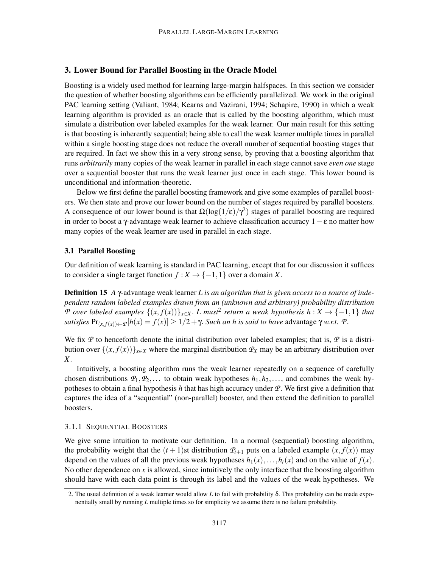# 3. Lower Bound for Parallel Boosting in the Oracle Model

Boosting is a widely used method for learning large-margin halfspaces. In this section we consider the question of whether boosting algorithms can be efficiently parallelized. We work in the original PAC learning setting (Valiant, 1984; Kearns and Vazirani, 1994; Schapire, 1990) in which a weak learning algorithm is provided as an oracle that is called by the boosting algorithm, which must simulate a distribution over labeled examples for the weak learner. Our main result for this setting is that boosting is inherently sequential; being able to call the weak learner multiple times in parallel within a single boosting stage does not reduce the overall number of sequential boosting stages that are required. In fact we show this in a very strong sense, by proving that a boosting algorithm that runs *arbitrarily* many copies of the weak learner in parallel in each stage cannot save *even one* stage over a sequential booster that runs the weak learner just once in each stage. This lower bound is unconditional and information-theoretic.

Below we first define the parallel boosting framework and give some examples of parallel boosters. We then state and prove our lower bound on the number of stages required by parallel boosters. A consequence of our lower bound is that  $\Omega(\log(1/\epsilon)/\gamma^2)$  stages of parallel boosting are required in order to boost a γ-advantage weak learner to achieve classification accuracy  $1 - \varepsilon$  no matter how many copies of the weak learner are used in parallel in each stage.

### 3.1 Parallel Boosting

Our definition of weak learning is standard in PAC learning, except that for our discussion it suffices to consider a single target function  $f : X \to \{-1, 1\}$  over a domain *X*.

Definition 15 *A* γ-advantage weak learner *L is an algorithm that is given access to a source of independent random labeled examples drawn from an (unknown and arbitrary) probability distribution P over labeled examples*  $\{(x, f(x))\}_{x\in X}$ . *L must*<sup>2</sup> *return a weak hypothesis h* : *X* → {−1,1} *that satisfies*  $Pr_{(x, f(x)) \leftarrow P}[h(x) = f(x)] \ge 1/2 + \gamma$ . *Such an h is said to have* advantage  $\gamma w.r.t.$  *P*.

We fix  $P$  to henceforth denote the initial distribution over labeled examples; that is,  $P$  is a distribution over  $\{(x, f(x))\}_{x \in X}$  where the marginal distribution  $\mathcal{P}_X$  may be an arbitrary distribution over *X*.

Intuitively, a boosting algorithm runs the weak learner repeatedly on a sequence of carefully chosen distributions  $P_1, P_2, \ldots$  to obtain weak hypotheses  $h_1, h_2, \ldots$ , and combines the weak hypotheses to obtain a final hypothesis *h* that has high accuracy under *P*. We first give a definition that captures the idea of a "sequential" (non-parallel) booster, and then extend the definition to parallel boosters.

# 3.1.1 SEQUENTIAL BOOSTERS

We give some intuition to motivate our definition. In a normal (sequential) boosting algorithm, the probability weight that the  $(t + 1)$ st distribution  $P_{t+1}$  puts on a labeled example  $(x, f(x))$  may depend on the values of all the previous weak hypotheses  $h_1(x), \ldots, h_t(x)$  and on the value of  $f(x)$ . No other dependence on *x* is allowed, since intuitively the only interface that the boosting algorithm should have with each data point is through its label and the values of the weak hypotheses. We

<sup>2.</sup> The usual definition of a weak learner would allow *L* to fail with probability δ. This probability can be made exponentially small by running *L* multiple times so for simplicity we assume there is no failure probability.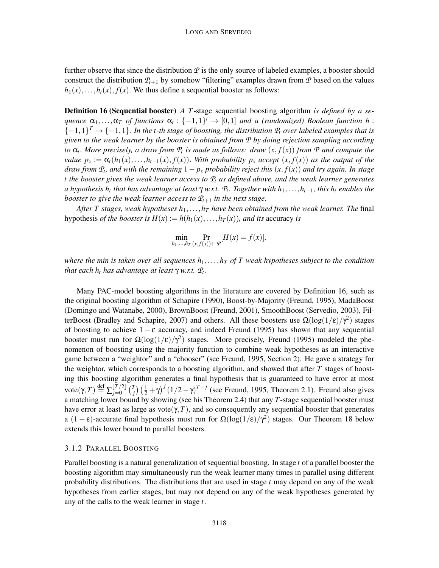further observe that since the distribution  $P$  is the only source of labeled examples, a booster should construct the distribution  $P_{t+1}$  by somehow "filtering" examples drawn from  $P$  based on the values  $h_1(x), \ldots, h_t(x), f(x)$ . We thus define a sequential booster as follows:

Definition 16 (Sequential booster) *A T*-stage sequential boosting algorithm *is defined by a sequence*  $\alpha_1, \ldots, \alpha_T$  *of functions*  $\alpha_t : \{-1,1\}^t \to [0,1]$  *and a (randomized) Boolean function h* :  $\{-1,1\}^T \rightarrow \{-1,1\}$ . In the t-th stage of boosting, the distribution  $P_t$  over labeled examples that is *given to the weak learner by the booster is obtained from P by doing rejection sampling according to* α*<sup>t</sup>* . *More precisely, a draw from P<sup>t</sup> is made as follows: draw* (*x*, *f*(*x*)) *from P and compute the value*  $p_x := \alpha_t(h_1(x), \ldots, h_{t-1}(x), f(x))$ . With probability  $p_x$  *accept*  $(x, f(x))$  *as the output of the draw from*  $P_t$ , and with the remaining  $1 - p_x$  *probability reject this*  $(x, f(x))$  *and try again. In stage t the booster gives the weak learner access to P<sup>t</sup> as defined above, and the weak learner generates a hypothesis h<sup>t</sup> that has advantage at least* <sup>γ</sup> *w.r.t. P<sup>t</sup> . Together with h*1,...,*ht*−1*, this h<sup>t</sup> enables the booster to give the weak learner access to*  $P_{t+1}$  *in the next stage.* 

*After T stages, weak hypotheses h*1,...,*h<sup>T</sup> have been obtained from the weak learner. The* final hypothesis *of the booster is*  $H(x) := h(h_1(x), \ldots, h_T(x))$ *, and its accuracy is* 

$$
\min_{h_1,\ldots,h_T} \Pr_{(x,f(x))\leftarrow \mathcal{P}}[H(x) = f(x)],
$$

*where the min is taken over all sequences*  $h_1, \ldots, h_T$  *of T weak hypotheses subject to the condition that each h<sup>t</sup> has advantage at least* <sup>γ</sup> *w.r.t. P<sup>t</sup> .*

Many PAC-model boosting algorithms in the literature are covered by Definition 16, such as the original boosting algorithm of Schapire (1990), Boost-by-Majority (Freund, 1995), MadaBoost (Domingo and Watanabe, 2000), BrownBoost (Freund, 2001), SmoothBoost (Servedio, 2003), FilterBoost (Bradley and Schapire, 2007) and others. All these boosters use  $\Omega(\log(1/\epsilon)/\gamma^2)$  stages of boosting to achieve  $1 - \varepsilon$  accuracy, and indeed Freund (1995) has shown that any sequential booster must run for  $\Omega(\log(1/\epsilon)/\gamma^2)$  stages. More precisely, Freund (1995) modeled the phenomenon of boosting using the majority function to combine weak hypotheses as an interactive game between a "weightor" and a "chooser" (see Freund, 1995, Section 2). He gave a strategy for the weightor, which corresponds to a boosting algorithm, and showed that after *T* stages of boosting this boosting algorithm generates a final hypothesis that is guaranteed to have error at most  $\mathrm{vote}(\gamma,T) \stackrel{\text{def}}{=} \sum_{j=0}^{\lfloor T/2 \rfloor} \binom{T}{j}$  $\int_{i}^{T}$ )  $\left(\frac{1}{2} + \gamma\right)^{j} \left(1/2 - \gamma\right)^{T-j}$  (see Freund, 1995, Theorem 2.1). Freund also gives a matching lower bound by showing (see his Theorem 2.4) that any *T*-stage sequential booster must have error at least as large as vote( $\gamma$ , *T*), and so consequently any sequential booster that generates a  $(1 - \varepsilon)$ -accurate final hypothesis must run for  $\Omega(\log(1/\varepsilon)/\gamma^2)$  stages. Our Theorem 18 below extends this lower bound to parallel boosters.

#### 3.1.2 PARALLEL BOOSTING

Parallel boosting is a natural generalization of sequential boosting. In stage *t* of a parallel booster the boosting algorithm may simultaneously run the weak learner many times in parallel using different probability distributions. The distributions that are used in stage *t* may depend on any of the weak hypotheses from earlier stages, but may not depend on any of the weak hypotheses generated by any of the calls to the weak learner in stage *t*.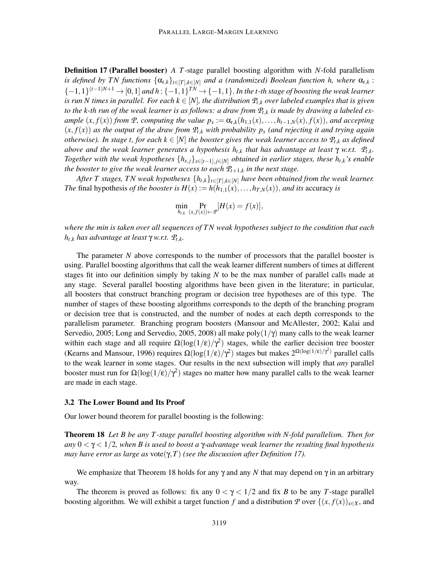Definition 17 (Parallel booster) *A T*-stage parallel boosting algorithm with *N*-fold parallelism *is defined by TN functions*  $\{\alpha_{t,k}\}_{t\in[T],k\in[N]}$  *and a (randomized) Boolean function h, where*  $\alpha_{t,k}$ : {−1,1} (*t*−1)*N*+<sup>1</sup> <sup>→</sup> [0,1] *and h* : {−1,1} *TN* → {−1,1}. *In the t-th stage of boosting the weak learner is run N times in parallel. For each*  $k \in [N]$ , the distribution  $P_{t,k}$  *over labeled examples that is given to the k-th run of the weak learner is as follows: a draw from P<sup>t</sup>*,*<sup>k</sup> is made by drawing a labeled ex*ample  $(x, f(x))$  from P, computing the value  $p_x := \alpha_{t,k}(h_{1,1}(x), \ldots, h_{t-1,N}(x), f(x))$ , and accepting  $(x, f(x))$  *as the output of the draw from*  $P_{t,k}$  *with probability*  $p_x$  *(and rejecting it and trying again otherwise). In stage t, for each*  $k \in [N]$  *the booster gives the weak learner access to*  $\mathcal{P}_{t,k}$  *as defined above and the weak learner generates a hypothesis*  $h_{t,k}$  *<i>that has advantage at least*  $\gamma$  *w.r.t.*  $\mathcal{P}_{t,k}$ *. Together with the weak hypotheses*  $\{h_{s,j}\}_{s\in[t-1], j\in[N]}$  *obtained in earlier stages, these*  $h_{t,k}$ *'s enable the booster to give the weak learner access to each P<sup>t</sup>*+1,*<sup>k</sup> in the next stage.*

*After T stages, TN weak hypotheses*  $\{h_{t,k}\}_{t\in[T],k\in[N]}$  *have been obtained from the weak learner. The* final hypothesis *of the booster is*  $H(x) := h(h_{1,1}(x), \ldots, h_{T,N}(x))$ , *and its* accuracy *is* 

$$
\min_{h_{t,k}} \Pr_{(x,f(x))\leftarrow T} [H(x) = f(x)],
$$

*where the min is taken over all sequences of TN weak hypotheses subject to the condition that each <sup>h</sup>t*,*<sup>k</sup> has advantage at least* <sup>γ</sup> *w.r.t. P<sup>t</sup>*,*k.*

The parameter *N* above corresponds to the number of processors that the parallel booster is using. Parallel boosting algorithms that call the weak learner different numbers of times at different stages fit into our definition simply by taking *N* to be the max number of parallel calls made at any stage. Several parallel boosting algorithms have been given in the literature; in particular, all boosters that construct branching program or decision tree hypotheses are of this type. The number of stages of these boosting algorithms corresponds to the depth of the branching program or decision tree that is constructed, and the number of nodes at each depth corresponds to the parallelism parameter. Branching program boosters (Mansour and McAllester, 2002; Kalai and Servedio, 2005; Long and Servedio, 2005, 2008) all make poly $(1/\gamma)$  many calls to the weak learner within each stage and all require  $\Omega(\log(1/\epsilon)/\gamma^2)$  stages, while the earlier decision tree booster (Kearns and Mansour, 1996) requires  $\Omega(\log(1/\epsilon)/\gamma^2)$  stages but makes  $2^{\Omega(\log(1/\epsilon)/\gamma^2)}$  parallel calls to the weak learner in some stages. Our results in the next subsection will imply that *any* parallel booster must run for  $\Omega(\log(1/\epsilon)/\gamma^2)$  stages no matter how many parallel calls to the weak learner are made in each stage.

#### 3.2 The Lower Bound and Its Proof

Our lower bound theorem for parallel boosting is the following:

Theorem 18 *Let B be any T -stage parallel boosting algorithm with N-fold parallelism. Then for any* 0 < γ < 1/2*, when B is used to boost a* γ*-advantage weak learner the resulting final hypothesis may have error as large as* vote(γ,*T*) *(see the discussion after Definition 17).*

We emphasize that Theorem 18 holds for any  $\gamma$  and any *N* that may depend on  $\gamma$  in an arbitrary way.

The theorem is proved as follows: fix any  $0 < \gamma < 1/2$  and fix *B* to be any *T*-stage parallel boosting algorithm. We will exhibit a target function *f* and a distribution *P* over  $\{(x, f(x))_{x\in X},$  and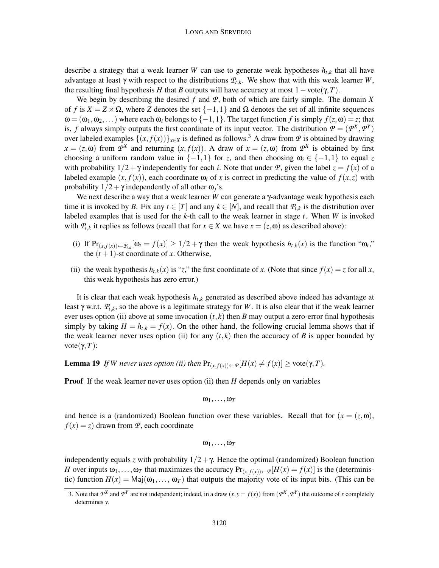describe a strategy that a weak learner *W* can use to generate weak hypotheses  $h_{t,k}$  that all have advantage at least γ with respect to the distributions  $P_t$ <sub>*k*</sub>. We show that with this weak learner *W*, the resulting final hypothesis *H* that *B* outputs will have accuracy at most  $1 - \text{vote}(\gamma, T)$ .

We begin by describing the desired *f* and *P*, both of which are fairly simple. The domain *X* of *f* is  $X = Z \times \Omega$ , where *Z* denotes the set  $\{-1,1\}$  and  $\Omega$  denotes the set of all infinite sequences  $\omega = (\omega_1, \omega_2, \dots)$  where each  $\omega_i$  belongs to  $\{-1, 1\}$ . The target function *f* is simply  $f(z, \omega) = z$ ; that is, *f* always simply outputs the first coordinate of its input vector. The distribution  $P = (P^X, P^Y)$ over labeled examples  $\{(x, f(x))\}_{x \in X}$  is defined as follows.<sup>3</sup> A draw from *P* is obtained by drawing  $x = (z, \omega)$  from  $\mathcal{P}^X$  and returning  $(x, f(x))$ . A draw of  $x = (z, \omega)$  from  $\mathcal{P}^X$  is obtained by first choosing a uniform random value in  $\{-1,1\}$  for *z*, and then choosing  $\omega_i \in \{-1,1\}$  to equal *z* with probability  $1/2 + \gamma$  independently for each *i*. Note that under *P*, given the label  $z = f(x)$  of a labeled example  $(x, f(x))$ , each coordinate  $\omega_i$  of x is correct in predicting the value of  $f(x, z)$  with probability  $1/2 + \gamma$  independently of all other  $\omega_i$ 's.

We next describe a way that a weak learner *W* can generate a γ-advantage weak hypothesis each time it is invoked by *B*. Fix any  $t \in [T]$  and any  $k \in [N]$ , and recall that  $\mathcal{P}_{t,k}$  is the distribution over labeled examples that is used for the *k*-th call to the weak learner in stage *t*. When *W* is invoked with  $P_{t,k}$  it replies as follows (recall that for  $x \in X$  we have  $x = (z, \omega)$  as described above):

- (i) If  $Pr_{(x,f(x)) \leftarrow P_{t,k}}[\omega_t = f(x)] \ge 1/2 + \gamma$  then the weak hypothesis  $h_{t,k}(x)$  is the function " $\omega_t$ "," the  $(t + 1)$ -st coordinate of *x*. Otherwise,
- (ii) the weak hypothesis  $h_t$ <sub>*k*</sub>(*x*) is "*z*," the first coordinate of *x*. (Note that since  $f(x) = z$  for all *x*, this weak hypothesis has zero error.)

It is clear that each weak hypothesis *ht*,*<sup>k</sup>* generated as described above indeed has advantage at least <sup>γ</sup> w.r.t. *P<sup>t</sup>*,*k*, so the above is a legitimate strategy for *<sup>W</sup>*. It is also clear that if the weak learner ever uses option (ii) above at some invocation  $(t, k)$  then *B* may output a zero-error final hypothesis simply by taking  $H = h_{t,k} = f(x)$ . On the other hand, the following crucial lemma shows that if the weak learner never uses option (ii) for any  $(t, k)$  then the accuracy of *B* is upper bounded by vote( $γ, T$ ):

**Lemma 19** *If W never uses option (ii) then*  $Pr_{(x, f(x)) \leftarrow P}[H(x) \neq f(x)] \geq \text{vote}(\gamma, T)$ *.* 

**Proof** If the weak learner never uses option (ii) then *H* depends only on variables

$$
\omega_1,\ldots,\omega_{\mathcal{T}}
$$

and hence is a (randomized) Boolean function over these variables. Recall that for  $(x = (z, \omega)$ ,  $f(x) = z$  drawn from *P*, each coordinate

$$
\omega_1,\ldots,\omega_{\mathcal{T}}
$$

independently equals *z* with probability  $1/2 + \gamma$ . Hence the optimal (randomized) Boolean function *H* over inputs  $\omega_1, \ldots, \omega_T$  that maximizes the accuracy  $Pr_{(x,f(x)) \leftarrow P}[H(x) = f(x)]$  is the (deterministic) function  $H(x) = \text{Maj}(\omega_1, \ldots, \omega_T)$  that outputs the majority vote of its input bits. (This can be

<sup>3.</sup> Note that  $P^X$  and  $P^Y$  are not independent; indeed, in a draw  $(x, y = f(x))$  from  $(P^X, P^Y)$  the outcome of *x* completely determines *y*.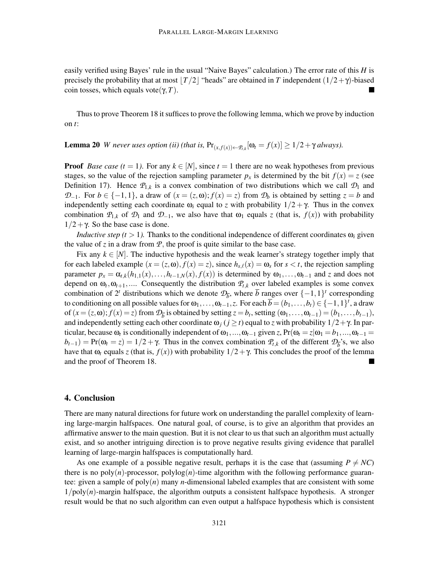easily verified using Bayes' rule in the usual "Naive Bayes" calculation.) The error rate of this *H* is precisely the probability that at most  $|T/2|$  "heads" are obtained in *T* independent  $(1/2+\gamma)$ -biased coin tosses, which equals vote(γ, *T*).

Thus to prove Theorem 18 it suffices to prove the following lemma, which we prove by induction on *t*:

**Lemma 20** *W never uses option (ii) (that is,*  $Pr_{(x,f(x))\leftarrow P_{t,k}}[\omega_t = f(x)] \geq 1/2 + \gamma$  always).

**Proof** *Base case (t = 1)*. For any  $k \in [N]$ , since  $t = 1$  there are no weak hypotheses from previous stages, so the value of the rejection sampling parameter  $p_x$  is determined by the bit  $f(x) = z$  (see Definition 17). Hence  $P_{1,k}$  is a convex combination of two distributions which we call  $\mathcal{D}_1$  and *D*−1. For *b* ∈ {−1,1}, a draw of  $(x = (z, \omega); f(x) = z)$  from  $\mathcal{D}_b$  is obtained by setting  $z = b$  and independently setting each coordinate  $\omega_i$  equal to *z* with probability  $1/2 + \gamma$ . Thus in the convex combination  $\mathcal{P}_{1,k}$  of  $\mathcal{D}_1$  and  $\mathcal{D}_{-1}$ , we also have that  $\omega_1$  equals *z* (that is,  $f(x)$ ) with probability  $1/2 + \gamma$ . So the base case is done.

*Inductive step (t > 1).* Thanks to the conditional independence of different coordinates  $\omega_i$  given the value of  $\zeta$  in a draw from  $\mathcal{P}$ , the proof is quite similar to the base case.

Fix any  $k \in [N]$ . The inductive hypothesis and the weak learner's strategy together imply that for each labeled example  $(x = (z, \omega), f(x) = z)$ , since  $h_{s,\ell}(x) = \omega_s$  for  $s < t$ , the rejection sampling parameter  $p_x = \alpha_{t,k}(h_{1,1}(x),...,h_{t-1,N}(x),f(x))$  is determined by  $\omega_1,...,\omega_{t-1}$  and *z* and does not depend on  $\omega_t$ ,  $\omega_{t+1}$ ,.... Consequently the distribution  $P_{t,k}$  over labeled examples is some convex combination of  $2^t$  distributions which we denote  $\mathcal{D}_{\overline{b}}$ , where  $\overline{b}$  ranges over  $\{-1,1\}^t$  corresponding to conditioning on all possible values for  $\omega_1, \ldots, \omega_{t-1}, z$ . For each  $\overline{b} = (b_1, \ldots, b_t) \in \{-1, 1\}^t$ , a draw of  $(x = (z, \omega); f(x) = z)$  from  $\mathcal{D}_{\overline{b}}$  is obtained by setting  $z = b_t$ , setting  $(\omega_1, \ldots, \omega_{t-1}) = (b_1, \ldots, b_{t-1}),$ and independently setting each other coordinate  $\omega_j$  ( $j \ge t$ ) equal to *z* with probability  $1/2 + \gamma$ . In particular, because  $\omega_t$  is conditionally independent of  $\omega_1, ..., \omega_{t-1}$  given *z*, Pr( $\omega_t = z | \omega_1 = b_1, ..., \omega_{t-1} =$  $b_{t-1}$ ) = Pr( $\omega_t$  = *z*) = 1/2 +  $\gamma$ . Thus in the convex combination  $P_{t,k}$  of the different  $\mathcal{D}_b$ 's, we also have that  $\omega_t$  equals *z* (that is,  $f(x)$ ) with probability  $1/2 + \gamma$ . This concludes the proof of the lemma and the proof of Theorem 18.

# 4. Conclusion

There are many natural directions for future work on understanding the parallel complexity of learning large-margin halfspaces. One natural goal, of course, is to give an algorithm that provides an affirmative answer to the main question. But it is not clear to us that such an algorithm must actually exist, and so another intriguing direction is to prove negative results giving evidence that parallel learning of large-margin halfspaces is computationally hard.

As one example of a possible negative result, perhaps it is the case that (assuming  $P \neq NC$ ) there is no  $poly(n)$ -processor,  $polylog(n)$ -time algorithm with the following performance guarantee: given a sample of poly(*n*) many *n*-dimensional labeled examples that are consistent with some  $1/poly(n)$ -margin halfspace, the algorithm outputs a consistent halfspace hypothesis. A stronger result would be that no such algorithm can even output a halfspace hypothesis which is consistent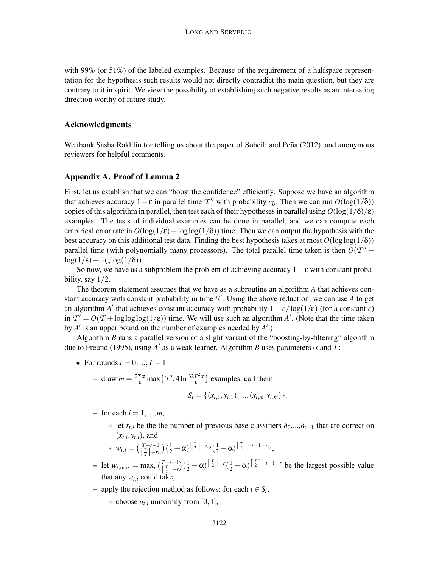with 99% (or 51%) of the labeled examples. Because of the requirement of a halfspace representation for the hypothesis such results would not directly contradict the main question, but they are contrary to it in spirit. We view the possibility of establishing such negative results as an interesting direction worthy of future study.

#### Acknowledgments

We thank Sasha Rakhlin for telling us about the paper of Soheili and Peña (2012), and anonymous reviewers for helpful comments.

## Appendix A. Proof of Lemma 2

First, let us establish that we can "boost the confidence" efficiently. Suppose we have an algorithm that achieves accuracy  $1 - \varepsilon$  in parallel time *T*<sup>*''*</sup> with probability *c*<sub>δ</sub>. Then we can run *O*(log(1/δ)) copies of this algorithm in parallel, then test each of their hypotheses in parallel using  $O(\log(1/\delta)/\epsilon)$ examples. The tests of individual examples can be done in parallel, and we can compute each empirical error rate in  $O(\log(1/\epsilon) + \log \log(1/\delta))$  time. Then we can output the hypothesis with the best accuracy on this additional test data. Finding the best hypothesis takes at most  $O(\log \log(1/\delta))$ parallel time (with polynomially many processors). The total parallel time taken is then  $O(T'' +$  $\log(1/\epsilon) + \log \log(1/\delta)$ ).

So now, we have as a subproblem the problem of achieving accuracy  $1-\epsilon$  with constant probability, say  $1/2$ .

The theorem statement assumes that we have as a subroutine an algorithm *A* that achieves constant accuracy with constant probability in time  $\mathcal T$ . Using the above reduction, we can use A to get an algorithm *A'* that achieves constant accuracy with probability  $1 - c/\log(1/\epsilon)$  (for a constant *c*) in  $T' = O(T + \log \log \log(1/\epsilon))$  time. We will use such an algorithm *A'*. (Note that the time taken by *A* ′ is an upper bound on the number of examples needed by *A* ′ .)

Algorithm *B* runs a parallel version of a slight variant of the "boosting-by-filtering" algorithm due to Freund (1995), using  $A'$  as a weak learner. Algorithm *B* uses parameters  $\alpha$  and *T*:

- For rounds  $t = 0, ..., T 1$ 
	- $-$  draw  $m = \frac{2T\alpha}{\epsilon} \max\left\{T', 4\ln\frac{32T^2\alpha}{\epsilon}\right\}$  $\left\{ \frac{P^2\alpha}{\epsilon} \right\}$  examples, call them  $S_t = \{(r, y, t), (r, t, t), \ldots\}$

$$
S_t = \{ (x_{t,1}, y_{t,1}), ..., (x_{t,m}, y_{t,m}) \}.
$$

- $-$  for each  $i = 1, ..., m$ ,
	- ∗ let *rt*,*<sup>i</sup>* be the the number of previous base classifiers *h*0,...,*ht*−<sup>1</sup> that are correct on  $(x_{t,i}, y_{t,i})$ , and

$$
* w_{t,i} = \left(\begin{matrix} T-t-1 \\ \frac{T}{2} \end{matrix}\right) \left(\frac{1}{2} + \alpha\right)^{\left\lfloor \frac{T}{2} \right\rfloor - r_{t,i}} \left(\frac{1}{2} - \alpha\right)^{\left\lceil \frac{T}{2} \right\rceil - t - 1 + r_{t,i}},
$$

- $-$  let  $w_{t, \max} = \max_r \left( \begin{array}{c} T t 1 \\ T 1 \end{array} \right)$  $\left[\frac{T}{2}-r\right)\left(\frac{1}{2}+\alpha\right)\left[\frac{T}{2}\right]-r\left(\frac{1}{2}-\alpha\right)\left[\frac{T}{2}\right]-t-1+r$  be the largest possible value that any  $w_{t,i}$  could take,
- apply the rejection method as follows: for each *i* ∈ *S<sup>t</sup>* ,
	- $\ast$  choose  $u_t$ , uniformly from [0, 1],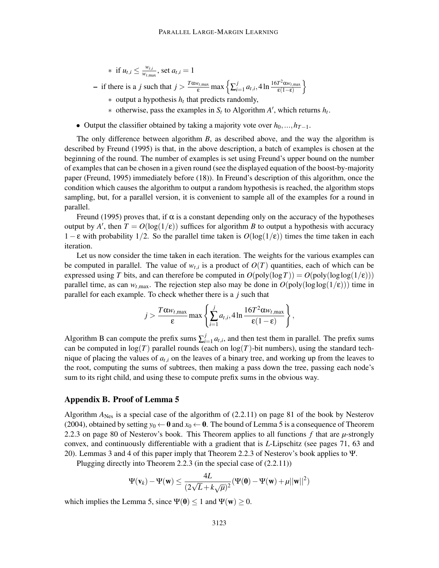\* if 
$$
u_{t,i} \leq \frac{w_{t,i}}{w_{t,\max}}
$$
, set  $a_{t,i} = 1$ 

 $-$  if there is a *j* such that  $j > \frac{T\alpha w_{t, \max}}{\varepsilon} \max \left\{ \sum_{i}^{j}$  $\int_{i=1}^{j} a_{t,i}$ , 4 ln  $\frac{16T^2 \alpha w_{t,\text{max}}}{\epsilon(1-\epsilon)}$  $\epsilon(1-\epsilon)$ o

- ∗ output a hypothesis *h<sup>t</sup>* that predicts randomly,
- $*$  otherwise, pass the examples in  $S_t$  to Algorithm  $A'$ , which returns  $h_t$ .
- Output the classifier obtained by taking a majority vote over  $h_0, ..., h_{T-1}$ .

The only difference between algorithm *B*, as described above, and the way the algorithm is described by Freund (1995) is that, in the above description, a batch of examples is chosen at the beginning of the round. The number of examples is set using Freund's upper bound on the number of examples that can be chosen in a given round (see the displayed equation of the boost-by-majority paper (Freund, 1995) immediately before (18)). In Freund's description of this algorithm, once the condition which causes the algorithm to output a random hypothesis is reached, the algorithm stops sampling, but, for a parallel version, it is convenient to sample all of the examples for a round in parallel.

Freund (1995) proves that, if  $\alpha$  is a constant depending only on the accuracy of the hypotheses output by *A*<sup> $\prime$ </sup>, then  $T = O(\log(1/\epsilon))$  suffices for algorithm *B* to output a hypothesis with accuracy 1− ε with probability 1/2. So the parallel time taken is *O*(log(1/ε)) times the time taken in each iteration.

Let us now consider the time taken in each iteration. The weights for the various examples can be computed in parallel. The value of  $w_{t,i}$  is a product of  $O(T)$  quantities, each of which can be expressed using *T* bits, and can therefore be computed in  $O(poly(log T)) = O(poly(log log(1/\epsilon)))$ parallel time, as can  $w_{t, \text{max}}$ . The rejection step also may be done in  $O(poly(\log \log(1/\epsilon)))$  time in parallel for each example. To check whether there is a *j* such that

$$
j > \frac{T\alpha w_{t,\max}}{\varepsilon} \max \left\{ \sum_{i=1}^j a_{t,i}, 4 \ln \frac{16T^2 \alpha w_{t,\max}}{\varepsilon (1-\varepsilon)} \right\},\,
$$

Algorithm B can compute the prefix sums  $\sum_{i=1}^{j}$  $\int_{i=1}^{J} a_{t,i}$ , and then test them in parallel. The prefix sums can be computed in  $log(T)$  parallel rounds (each on  $log(T)$ -bit numbers), using the standard technique of placing the values of  $a_{t,i}$  on the leaves of a binary tree, and working up from the leaves to the root, computing the sums of subtrees, then making a pass down the tree, passing each node's sum to its right child, and using these to compute prefix sums in the obvious way.

## Appendix B. Proof of Lemma 5

Algorithm  $A_{\text{Nes}}$  is a special case of the algorithm of (2.2.11) on page 81 of the book by Nesterov (2004), obtained by setting  $y_0 \leftarrow \mathbf{0}$  and  $x_0 \leftarrow \mathbf{0}$ . The bound of Lemma 5 is a consequence of Theorem 2.2.3 on page 80 of Nesterov's book. This Theorem applies to all functions *f* that are *µ*-strongly convex, and continuously differentiable with a gradient that is *L*-Lipschitz (see pages 71, 63 and 20). Lemmas 3 and 4 of this paper imply that Theorem 2.2.3 of Nesterov's book applies to Ψ.

Plugging directly into Theorem 2.2.3 (in the special case of (2.2.11))

$$
\Psi(\mathbf{v}_k)-\Psi(\mathbf{w})\leq \frac{4L}{(2\sqrt{L}+k\sqrt{\mu})^2}(\Psi(\mathbf{0})-\Psi(\mathbf{w})+\mu||\mathbf{w}||^2)
$$

which implies the Lemma 5, since  $\Psi(0) < 1$  and  $\Psi(w) > 0$ .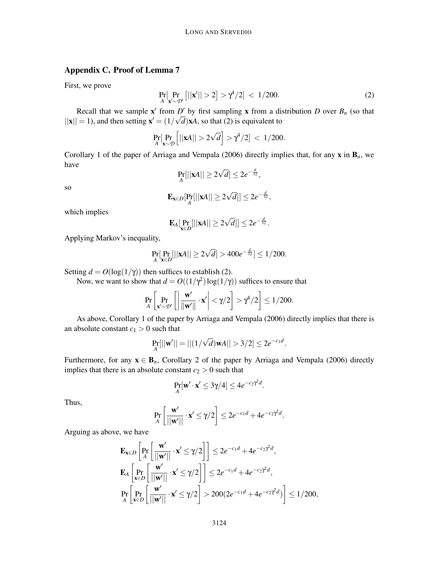# Appendix C. Proof of Lemma 7

First, we prove

$$
\Pr_{A}[\Pr_{\mathbf{x}' \sim \mathcal{D}'}[||\mathbf{x}'|| > 2] > \gamma^4/2] < 1/200.
$$
 (2)

Recall that we sample  $x'$  from *D'* by first sampling x from a distribution *D* over  $B_n$  (so that  $||\mathbf{x}|| = 1$ ), and then setting  $\mathbf{x}' = (1/\sqrt{d})\mathbf{x}A$ , so that (2) is equivalent to

$$
\Pr_{A}[\Pr_{\mathbf{x}\sim\mathcal{D}}\left[||\mathbf{x}A|| > 2\sqrt{d}\right] > \gamma^4/2] < 1/200.
$$

Corollary 1 of the paper of Arriaga and Vempala (2006) directly implies that, for any  $x$  in  $B_n$ , we have

$$
\Pr_A[||\mathbf{x}A|| \ge 2\sqrt{d}] \le 2e^{-\frac{d}{32}},
$$

so

$$
\mathbf{E}_{\mathbf{x}\in D}[\Pr_A[||\mathbf{x}A|| \geq 2\sqrt{d}]] \leq 2e^{-\frac{d}{32}},
$$

which implies

$$
\mathbf{E}_A[\Pr_{\mathbf{x}\in D}[||\mathbf{x}A||\geq 2\sqrt{d}]]\leq 2e^{-\frac{d}{32}}.
$$

Applying Markov's inequality,

$$
\Pr_{A}[\Pr_{\mathbf{x}\in D}[||\mathbf{x}A|| \ge 2\sqrt{d}] > 400e^{-\frac{d}{32}}] \le 1/200.
$$

Setting  $d = O(\log(1/\gamma))$  then suffices to establish (2).

Now, we want to show that  $d = O((1/\gamma^2) \log(1/\gamma))$  suffices to ensure that

$$
\Pr_{A}\left[\Pr_{\mathbf{x}'\sim\mathcal{D}'}\left[\left|\frac{\mathbf{w}'}{\|\mathbf{w}'\|}\cdot\mathbf{x}'\right|<\gamma/2\right] > \gamma^4/2\right] \le 1/200.
$$

As above, Corollary 1 of the paper by Arriaga and Vempala (2006) directly implies that there is an absolute constant  $c_1 > 0$  such that

$$
\Pr_{A}[||\mathbf{w}'|| = ||(1/\sqrt{d})\mathbf{w}A|| > 3/2] \leq 2e^{-c_1d}.
$$

Furthermore, for any  $x \in B_n$ , Corollary 2 of the paper by Arriaga and Vempala (2006) directly implies that there is an absolute constant  $c_2 > 0$  such that

$$
\Pr_{A}[\mathbf{w}' \cdot \mathbf{x}' \le 3\gamma/4] \le 4e^{-c_2\gamma^2d}.
$$

Thus,

$$
\Pr_{A}\left[\frac{\mathbf{w}'}{||\mathbf{w}'||}\cdot\mathbf{x}'\leq\gamma/2\right]\leq 2e^{-c_1d}+4e^{-c_2\gamma^2d}.
$$

Arguing as above, we have

$$
\mathbf{E}_{\mathbf{x}\in D}\left[\Pr_{A}\left[\frac{\mathbf{w}'}{||\mathbf{w}'||}\cdot\mathbf{x}'\leq\gamma/2\right]\right]\leq 2e^{-c_1d}+4e^{-c_2\gamma^2d},
$$
\n
$$
\mathbf{E}_{A}\left[\Pr_{\mathbf{x}\in D}\left[\frac{\mathbf{w}'}{||\mathbf{w}'||}\cdot\mathbf{x}'\leq\gamma/2\right]\right]\leq 2e^{-c_1d}+4e^{-c_2\gamma^2d},
$$
\n
$$
\Pr_{A}\left[\Pr_{\mathbf{x}\in D}\left[\frac{\mathbf{w}'}{||\mathbf{w}'||}\cdot\mathbf{x}'\leq\gamma/2\right]>200(2e^{-c_1d}+4e^{-c_2\gamma^2d})\right]\leq 1/200,
$$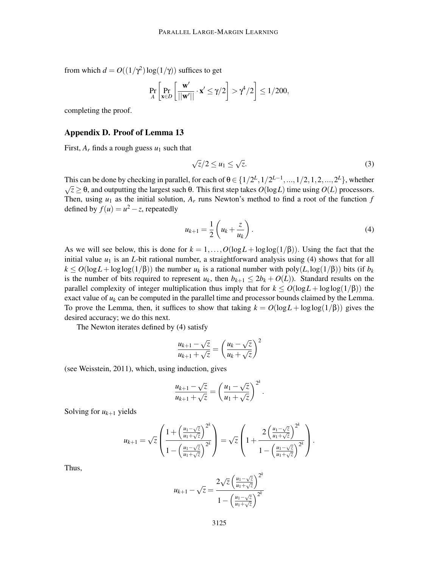from which  $d = O((1/\gamma^2) \log(1/\gamma))$  suffices to get

$$
\Pr_{A}\left[\Pr_{\mathbf{x}\in D}\left[\frac{\mathbf{w}'}{||\mathbf{w}'||}\cdot \mathbf{x}'\leq \gamma/2\right] > \gamma^4/2\right] \leq 1/200,
$$

completing the proof.

#### Appendix D. Proof of Lemma 13

First,  $A_r$  finds a rough guess  $u_1$  such that

$$
\sqrt{z}/2 \le u_1 \le \sqrt{z}.\tag{3}
$$

This can be done by checking in parallel, for each of  $\theta \in \{1/2^L, 1/2^{L-1}, ..., 1/2, 1, 2, ..., 2^L\}$ , whether  $\sqrt{z} \geq \theta$ , and outputting the largest such θ. This first step takes  $O(\log L)$  time using  $O(L)$  processors. Then, using  $u_1$  as the initial solution,  $A_r$  runs Newton's method to find a root of the function  $f$ defined by  $f(u) = u^2 - z$ , repeatedly

$$
u_{k+1} = \frac{1}{2} \left( u_k + \frac{z}{u_k} \right). \tag{4}
$$

As we will see below, this is done for  $k = 1, ..., O(\log L + \log \log(1/\beta))$ . Using the fact that the initial value  $u_1$  is an *L*-bit rational number, a straightforward analysis using (4) shows that for all  $k \leq O(\log L + \log \log(1/\beta))$  the number  $u_k$  is a rational number with poly $(L, \log(1/\beta))$  bits (if  $b_k$ ) is the number of bits required to represent  $u_k$ , then  $b_{k+1} \leq 2b_k + O(L)$ ). Standard results on the parallel complexity of integer multiplication thus imply that for  $k \le O(\log L + \log \log(1/\beta))$  the exact value of  $u_k$  can be computed in the parallel time and processor bounds claimed by the Lemma. To prove the Lemma, then, it suffices to show that taking  $k = O(\log L + \log \log(1/\beta))$  gives the desired accuracy; we do this next.

The Newton iterates defined by (4) satisfy

$$
\frac{u_{k+1} - \sqrt{z}}{u_{k+1} + \sqrt{z}} = \left(\frac{u_k - \sqrt{z}}{u_k + \sqrt{z}}\right)^2
$$

(see Weisstein, 2011), which, using induction, gives

$$
\frac{u_{k+1}-\sqrt{z}}{u_{k+1}+\sqrt{z}}=\left(\frac{u_1-\sqrt{z}}{u_1+\sqrt{z}}\right)^{2^k}.
$$

Solving for  $u_{k+1}$  yields

$$
u_{k+1} = \sqrt{z} \left( \frac{1 + \left( \frac{u_1 - \sqrt{z}}{u_1 + \sqrt{z}} \right)^{2^k}}{1 - \left( \frac{u_1 - \sqrt{z}}{u_1 + \sqrt{z}} \right)^{2^k}} \right) = \sqrt{z} \left( 1 + \frac{2 \left( \frac{u_1 - \sqrt{z}}{u_1 + \sqrt{z}} \right)^{2^k}}{1 - \left( \frac{u_1 - \sqrt{z}}{u_1 + \sqrt{z}} \right)^{2^k}} \right).
$$

Thus,

$$
u_{k+1} - \sqrt{z} = \frac{2\sqrt{z} \left(\frac{u_1 - \sqrt{z}}{u_1 + \sqrt{z}}\right)^{2^k}}{1 - \left(\frac{u_1 - \sqrt{z}}{u_1 + \sqrt{z}}\right)^{2^k}}
$$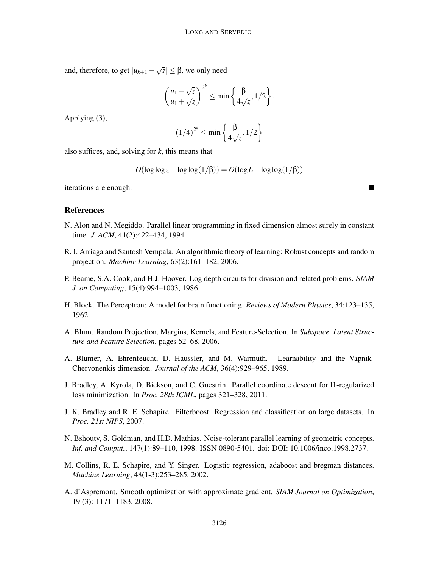and, therefore, to get  $|u_{k+1} - \sqrt{z}| \leq \beta$ , we only need

$$
\left(\frac{u_1-\sqrt{z}}{u_1+\sqrt{z}}\right)^{2^k}\leq \min\left\{\frac{\beta}{4\sqrt{z}},1/2\right\}.
$$

 $h^2$ 

Applying (3),

$$
(1/4)^{2^k} \le \min\left\{\frac{\beta}{4\sqrt{z}}, 1/2\right\}
$$

also suffices, and, solving for *k*, this means that

$$
O(\log \log z + \log \log(1/\beta)) = O(\log L + \log \log(1/\beta))
$$

iterations are enough.

## References

- N. Alon and N. Megiddo. Parallel linear programming in fixed dimension almost surely in constant time. *J. ACM*, 41(2):422–434, 1994.
- R. I. Arriaga and Santosh Vempala. An algorithmic theory of learning: Robust concepts and random projection. *Machine Learning*, 63(2):161–182, 2006.
- P. Beame, S.A. Cook, and H.J. Hoover. Log depth circuits for division and related problems. *SIAM J. on Computing*, 15(4):994–1003, 1986.
- H. Block. The Perceptron: A model for brain functioning. *Reviews of Modern Physics*, 34:123–135, 1962.
- A. Blum. Random Projection, Margins, Kernels, and Feature-Selection. In *Subspace, Latent Structure and Feature Selection*, pages 52–68, 2006.
- A. Blumer, A. Ehrenfeucht, D. Haussler, and M. Warmuth. Learnability and the Vapnik-Chervonenkis dimension. *Journal of the ACM*, 36(4):929–965, 1989.
- J. Bradley, A. Kyrola, D. Bickson, and C. Guestrin. Parallel coordinate descent for l1-regularized loss minimization. In *Proc. 28th ICML*, pages 321–328, 2011.
- J. K. Bradley and R. E. Schapire. Filterboost: Regression and classification on large datasets. In *Proc. 21st NIPS*, 2007.
- N. Bshouty, S. Goldman, and H.D. Mathias. Noise-tolerant parallel learning of geometric concepts. *Inf. and Comput.*, 147(1):89–110, 1998. ISSN 0890-5401. doi: DOI: 10.1006/inco.1998.2737.
- M. Collins, R. E. Schapire, and Y. Singer. Logistic regression, adaboost and bregman distances. *Machine Learning*, 48(1-3):253–285, 2002.
- A. d'Aspremont. Smooth optimization with approximate gradient. *SIAM Journal on Optimization*, 19 (3): 1171–1183, 2008.

 $\blacksquare$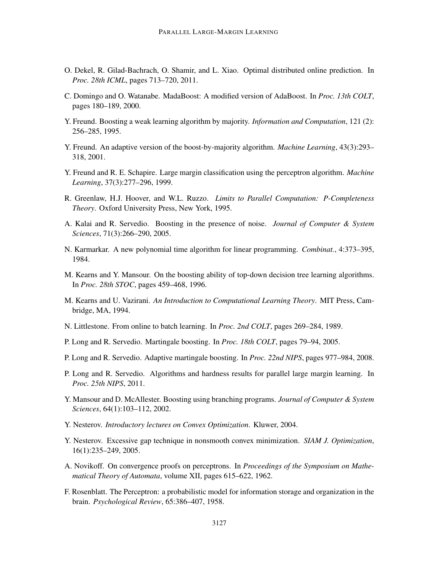- O. Dekel, R. Gilad-Bachrach, O. Shamir, and L. Xiao. Optimal distributed online prediction. In *Proc. 28th ICML*, pages 713–720, 2011.
- C. Domingo and O. Watanabe. MadaBoost: A modified version of AdaBoost. In *Proc. 13th COLT*, pages 180–189, 2000.
- Y. Freund. Boosting a weak learning algorithm by majority. *Information and Computation*, 121 (2): 256–285, 1995.
- Y. Freund. An adaptive version of the boost-by-majority algorithm. *Machine Learning*, 43(3):293– 318, 2001.
- Y. Freund and R. E. Schapire. Large margin classification using the perceptron algorithm. *Machine Learning*, 37(3):277–296, 1999.
- R. Greenlaw, H.J. Hoover, and W.L. Ruzzo. *Limits to Parallel Computation: P-Completeness Theory*. Oxford University Press, New York, 1995.
- A. Kalai and R. Servedio. Boosting in the presence of noise. *Journal of Computer & System Sciences*, 71(3):266–290, 2005.
- N. Karmarkar. A new polynomial time algorithm for linear programming. *Combinat.*, 4:373–395, 1984.
- M. Kearns and Y. Mansour. On the boosting ability of top-down decision tree learning algorithms. In *Proc. 28th STOC*, pages 459–468, 1996.
- M. Kearns and U. Vazirani. *An Introduction to Computational Learning Theory*. MIT Press, Cambridge, MA, 1994.
- N. Littlestone. From online to batch learning. In *Proc. 2nd COLT*, pages 269–284, 1989.
- P. Long and R. Servedio. Martingale boosting. In *Proc. 18th COLT*, pages 79–94, 2005.
- P. Long and R. Servedio. Adaptive martingale boosting. In *Proc. 22nd NIPS*, pages 977–984, 2008.
- P. Long and R. Servedio. Algorithms and hardness results for parallel large margin learning. In *Proc. 25th NIPS*, 2011.
- Y. Mansour and D. McAllester. Boosting using branching programs. *Journal of Computer & System Sciences*, 64(1):103–112, 2002.
- Y. Nesterov. *Introductory lectures on Convex Optimization*. Kluwer, 2004.
- Y. Nesterov. Excessive gap technique in nonsmooth convex minimization. *SIAM J. Optimization*, 16(1):235–249, 2005.
- A. Novikoff. On convergence proofs on perceptrons. In *Proceedings of the Symposium on Mathematical Theory of Automata*, volume XII, pages 615–622, 1962.
- F. Rosenblatt. The Perceptron: a probabilistic model for information storage and organization in the brain. *Psychological Review*, 65:386–407, 1958.